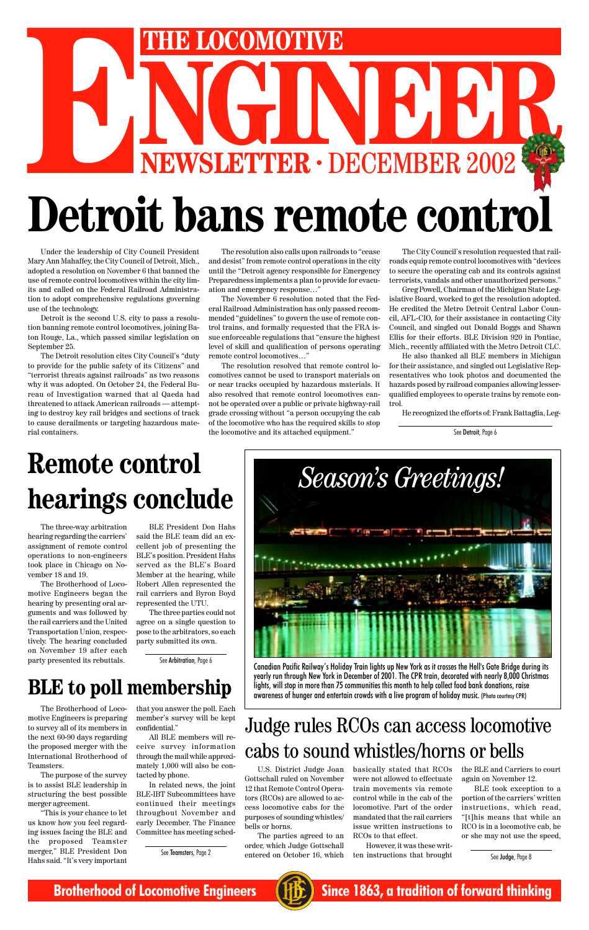

lights, will stop in more than 75 communities this month to help collect food bank donations, raise awareness of hunger and entertain crowds with a live program of holiday music. (Photo courtesy CPR)

Under the leadership of City Council President Mary Ann Mahaffey, the City Council of Detroit, Mich., adopted a resolution on November 6 that banned the use of remote control locomotives within the city limits and called on the Federal Railroad Administration to adopt comprehensive regulations governing use of the technology.

Detroit is the second U.S. city to pass a resolution banning remote control locomotives, joining Baton Rouge, La., which passed similar legislation on September 25.

The Detroit resolution cites City Council's "duty to provide for the public safety of its Citizens" and "terrorist threats against railroads" as two reasons why it was adopted. On October 24, the Federal Bureau of Investigation warned that al Qaeda had threatened to attack American railroads — attempting to destroy key rail bridges and sections of track to cause derailments or targeting hazardous material containers.

The resolution also calls upon railroads to "cease and desist" from remote control operations in the city until the "Detroit agency responsible for Emergency Preparedness implements a plan to provide for evacuation and emergency response…"

# NGINEER DECEMBER 2002 **THE LOCOMOTIVE**<br> **NEWSLETTER · DECEMBER 2002 Detroit bans remote control**



Canadian Pacific Railway's Holiday Train lights up New York as it crosses the Hell's Gate Bridge during its yearly run through New York in December of 2001. The CPR train, decorated with nearly 8,000 Christmas

The November 6 resolution noted that the Federal Railroad Administration has only passed recommended "guidelines" to govern the use of remote control trains, and formally requested that the FRA issue enforceable regulations that "ensure the highest level of skill and qualification of persons operating remote control locomotives…"

The resolution resolved that remote control locomotives cannot be used to transport materials on or near tracks occupied by hazardous materials. It also resolved that remote control locomotives cannot be operated over a public or private highway-rail grade crossing without "a person occupying the cab of the locomotive who has the required skills to stop the locomotive and its attached equipment."

The City Council's resolution requested that railroads equip remote control locomotives with "devices to secure the operating cab and its controls against terrorists, vandals and other unauthorized persons."

Greg Powell, Chairman of the Michigan State Legislative Board, worked to get the resolution adopted. He credited the Metro Detroit Central Labor Council, AFL-CIO, for their assistance in contacting City Council, and singled out Donald Boggs and Shawn Ellis for their efforts. BLE Division 920 in Pontiac, Mich., recently affiliated with the Metro Detroit CLC.

He also thanked all BLE members in Michigan for their assistance, and singled out Legislative Representatives who took photos and documented the hazards posed by railroad companies allowing lesserqualified employees to operate trains by remote control.

He recognized the efforts of: Frank Battaglia, Leg-

# **hearings conclude**

See Detroit, Page 6

The three-way arbitration hearing regarding the carriers' assignment of remote control operations to non-engineers took place in Chicago on November 18 and 19.

The Brotherhood of Locomotive Engineers began the hearing by presenting oral arguments and was followed by the rail carriers and the United Transportation Union, respectively. The hearing concluded on November 19 after each party presented its rebuttals.

BLE President Don Hahs said the BLE team did an excellent job of presenting the BLE's position. President Hahs served as the BLE's Board Member at the hearing, while Robert Allen represented the rail carriers and Byron Boyd represented the UTU.

The three parties could not agree on a single question to pose to the arbitrators, so each party submitted its own.

### **BLE to poll membership**

See Arbitration, Page 6

U.S. District Judge Joan Gottschall ruled on November 12 that Remote Control Operators (RCOs) are allowed to access locomotive cabs for the purposes of sounding whistles/ bells or horns.

The parties agreed to an order, which Judge Gottschall entered on October 16, which

basically stated that RCOs were not allowed to effectuate train movements via remote control while in the cab of the locomotive. Part of the order mandated that the rail carriers issue written instructions to RCOs to that effect.

However, it was these written instructions that brought

## Judge rules RCOs can access locomotive cabs to sound whistles/horns or bells

the BLE and Carriers to court again on November 12.

BLE took exception to a portion of the carriers' written instructions, which read, "[t]his means that while an RCO is in a locomotive cab, he or she may not use the speed,

See Judge, Page 8

The Brotherhood of Locomotive Engineers is preparing to survey all of its members in the next 60-90 days regarding the proposed merger with the International Brotherhood of Teamsters.

The purpose of the survey is to assist BLE leadership in structuring the best possible merger agreement.

"This is your chance to let us know how you feel regarding issues facing the BLE and the proposed Teamster merger," BLE President Don Hahs said. "It's very important

that you answer the poll. Each member's survey will be kept confidential."

All BLE members will receive survey information through the mail while approximately 1,000 will also be contacted by phone.

In related news, the joint BLE-IBT Subcommittees have continued their meetings throughout November and early December. The Finance Committee has meeting sched-

See Teamsters, Page 2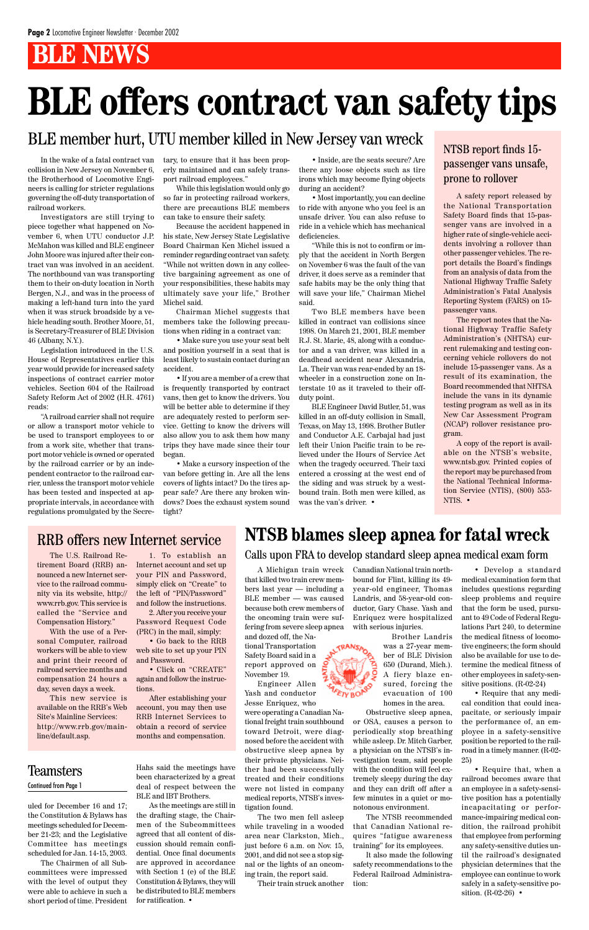## **BLE NEWS**

In the wake of a fatal contract van collision in New Jersey on November 6, the Brotherhood of Locomotive Engineers is calling for stricter regulations governing the off-duty transportation of railroad workers.

Investigators are still trying to piece together what happened on November 6, when UTU conductor J.P. McMahon was killed and BLE engineer John Moore was injured after their contract van was involved in an accident. The northbound van was transporting them to their on-duty location in North Bergen, N.J., and was in the process of making a left-hand turn into the yard when it was struck broadside by a vehicle heading south. Brother Moore, 51, is Secretary-Treasurer of BLE Division 46 (Albany, N.Y.).

Legislation introduced in the U.S. House of Representatives earlier this year would provide for increased safety inspections of contract carrier motor vehicles. Section 604 of the Railroad Safety Reform Act of 2002 (H.R. 4761) reads:

"A railroad carrier shall not require or allow a transport motor vehicle to be used to transport employees to or from a work site, whether that transport motor vehicle is owned or operated by the railroad carrier or by an independent contractor to the railroad carrier, unless the transport motor vehicle has been tested and inspected at appropriate intervals, in accordance with regulations promulgated by the Secretary, to ensure that it has been properly maintained and can safely transport railroad employees."

While this legislation would only go so far in protecting railroad workers, there are precautions BLE members can take to ensure their safety.

Because the accident happened in his state, New Jersey State Legislative Board Chairman Ken Michel issued a reminder regarding contract van safety. "While not written down in any collective bargaining agreement as one of your responsibilities, these habits may ultimately save your life," Brother Michel said.

Chairman Michel suggests that members take the following precautions when riding in a contract van:

• Make sure you use your seat belt and position yourself in a seat that is least likely to sustain contact during an accident.

• If you are a member of a crew that is frequently transported by contract vans, then get to know the drivers. You will be better able to determine if they are adequately rested to perform service. Getting to know the drivers will also allow you to ask them how many trips they have made since their tour began.

• Make a cursory inspection of the van before getting in. Are all the lens covers of lights intact? Do the tires appear safe? Are there any broken windows? Does the exhaust system sound tight?

A safety report released by the National Transportation Safety Board finds that 15-passenger vans are involved in a higher rate of single-vehicle accidents involving a rollover than other passenger vehicles. The report details the Board's findings from an analysis of data from the National Highway Traffic Safety Administration's Fatal Analysis Reporting System (FARS) on 15 passenger vans.

The report notes that the National Highway Traffic Safety Administration's (NHTSA) current rulemaking and testing concerning vehicle rollovers do not include 15-passenger vans. As a result of its examination, the Board recommended that NHTSA include the vans in its dynamic testing program as well as in its New Car Assessment Program (NCAP) rollover resistance program.

A copy of the report is available on the NTSB's website, www.ntsb.gov. Printed copies of the report may be purchased from the National Technical Information Service (NTIS), (800) 553- NTIS. •

> • Require that, when a railroad becomes aware that an employee in a safety-sensitive position has a potentially incapacitating or performance-impairing medical condition, the railroad prohibit that employee from performing any safety-sensitive duties until the railroad's designated physician determines that the employee can continue to work safely in a safety-sensitive position.  $(R-02-26)$  •

• Inside, are the seats secure? Are there any loose objects such as tire irons which may become flying objects during an accident?

• Most importantly, you can decline to ride with anyone who you feel is an unsafe driver. You can also refuse to ride in a vehicle which has mechanical deficiencies.

"While this is not to confirm or imply that the accident in North Bergen on November 6 was the fault of the van driver, it does serve as a reminder that safe habits may be the only thing that will save your life," Chairman Michel said.

Two BLE members have been killed in contract van collisions since 1998. On March 21, 2001, BLE member R.J. St. Marie, 48, along with a conductor and a van driver, was killed in a deadhead accident near Alexandria, La. Their van was rear-ended by an 18 wheeler in a construction zone on Interstate 10 as it traveled to their offduty point.

BLE Engineer David Butler, 51, was killed in an off-duty collision in Small, Texas, on May 13, 1998. Brother Butler and Conductor A.E. Carbajal had just left their Union Pacific train to be relieved under the Hours of Service Act when the tragedy occurred. Their taxi entered a crossing at the west end of the siding and was struck by a westbound train. Both men were killed, as was the van's driver. •

## **BLE offers contract van safety tips**

#### NTSB report finds 15 passenger vans unsafe, prone to rollover

### BLE member hurt, UTU member killed in New Jersey van wreck

A Michigan train wreck that killed two train crew members last year — including a BLE member — was caused because both crew members of the oncoming train were suffering from severe sleep apnea and dozed off, the Na-

tional Transportation Safety Board said in a report approved on November 19.

Engineer Allen

Yash and conductor

Jesse Enriquez, who were operating a Canadian National freight train southbound toward Detroit, were diagnosed before the accident with obstructive sleep apnea by their private physicians. Neither had been successfully treated and their conditions were not listed in company medical reports, NTSB's investigation found.

The two men fell asleep while traveling in a wooded area near Clarkston, Mich., just before 6 a.m. on Nov. 15, 2001, and did not see a stop signal or the lights of an oncoming train, the report said.

Their train struck another

Canadian National train northbound for Flint, killing its 49 year-old engineer, Thomas Landris, and 58-year-old conductor, Gary Chase. Yash and Enriquez were hospitalized with serious injuries.

Brother Landris was a 27-year member of BLE Division 650 (Durand, Mich.). A fiery blaze ensured, forcing the

evacuation of 100 homes in the area.

Obstructive sleep apnea, or OSA, causes a person to periodically stop breathing while asleep. Dr. Mitch Garber, a physician on the NTSB's investigation team, said people with the condition will feel extremely sleepy during the day and they can drift off after a few minutes in a quiet or monotonous environment.

The NTSB recommended that Canadian National requires "fatigue awareness training" for its employees.

It also made the following safety recommendations to the Federal Railroad Administration:

• Develop a standard medical examination form that includes questions regarding sleep problems and require that the form be used, pursuant to 49 Code of Federal Regulations Part 240, to determine the medical fitness of locomotive engineers; the form should also be available for use to determine the medical fitness of other employees in safety-sen-

sitive positions. (R-02-24)

• Require that any medical condition that could incapacitate, or seriously impair the performance of, an employee in a safety-sensitive position be reported to the railroad in a timely manner. (R-02- 25)

### **NTSB blames sleep apnea for fatal wreck**

The U.S. Railroad Retirement Board (RRB) announced a new Internet service to the railroad community via its website, http:// www.rrb.gov. This service is called the "Service and Compensation History."

With the use of a Personal Computer, railroad workers will be able to view and print their record of railroad service months and compensation 24 hours a

day, seven days a week.

This new service is available on the RRB's Web Site's Mainline Services: http://www.rrb.gov/mainline/default.asp.

1. To establish an Internet account and set up your PIN and Password, simply click on "Create" to the left of "PIN/Password" and follow the instructions.

2. After you receive your Password Request Code (PRC) in the mail, simply:

• Go back to the RRB web site to set up your PIN and Password.

• Click on "CREATE" again and follow the instruc-

#### tions.

After establishing your account, you may then use RRB Internet Services to obtain a record of service months and compensation.

### RRB offers new Internet service

uled for December 16 and 17; the Constitution & Bylaws has meetings scheduled for December 21-23; and the Legislative Committee has meetings scheduled for Jan. 14-15, 2003.

The Chairmen of all Subcommittees were impressed with the level of output they were able to achieve in such a short period of time. President

Hahs said the meetings have been characterized by a great deal of respect between the BLE and IBT Brothers.

As the meetings are still in the drafting stage, the Chairmen of the Subcommittees agreed that all content of discussion should remain confidential. Once final documents are approved in accordance with Section 1 (e) of the BLE Constitution & Bylaws, they will be distributed to BLE members for ratification. •

**TAETY BONDS** 

#### Teamsters Continued from Page 1

Calls upon FRA to develop standard sleep apnea medical exam form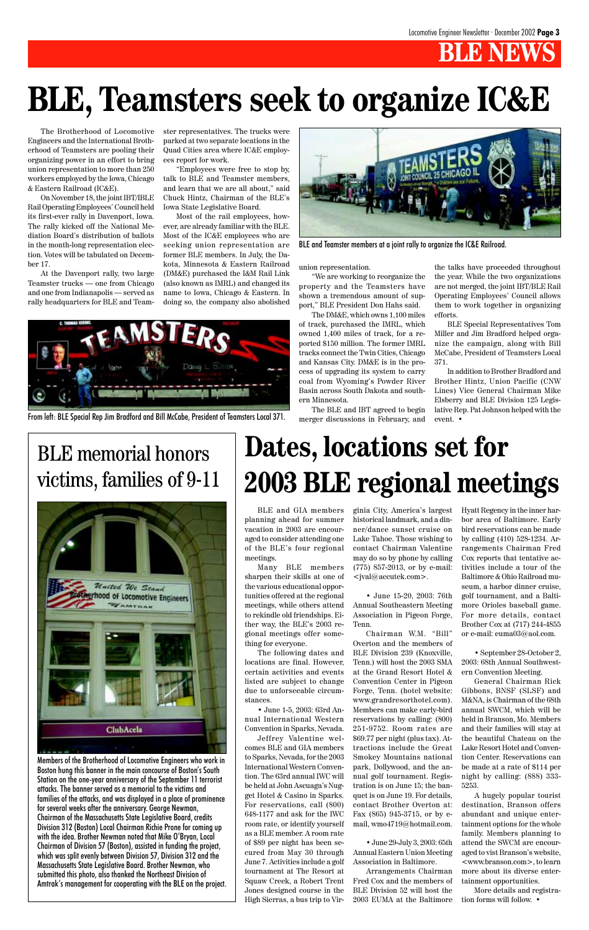

Members of the Brotherhood of Locomotive Engineers who work in Boston hung this banner in the main concourse of Boston's South Station on the one-year anniversary of the September 11 terrorist attacks. The banner served as a memorial to the victims and families of the attacks, and was displayed in a place of prominence for several weeks after the anniversary. George Newman, Chairman of the Massachusetts State Legislative Board, credits Division 312 (Boston) Local Chairman Richie Prone for coming up with the idea. Brother Newman noted that Mike O'Bryan, Local Chairman of Division 57 (Boston), assisted in funding the project, which was split evenly between Division 57, Division 312 and the Massachusetts State Legislative Board. Brother Newman, who submitted this photo, also thanked the Northeast Division of Amtrak's management for cooperating with the BLE on the project.

## BLE memorial honors victims, families of 9-11



The Brotherhood of Locomotive Engineers and the International Brotherhood of Teamsters are pooling their organizing power in an effort to bring union representation to more than 250 workers employed by the Iowa, Chicago & Eastern Railroad (IC&E).

On November 18, the joint IBT/IBLE Rail Operating Employees' Council held its first-ever rally in Davenport, Iowa. The rally kicked off the National Mediation Board's distribution of ballots in the month-long representation election. Votes will be tabulated on December 17.

At the Davenport rally, two large Teamster trucks — one from Chicago and one from Indianapolis — served as rally headquarters for BLE and Teamster representatives. The trucks were parked at two separate locations in the Quad Cities area where IC&E employees report for work.

"Employees were free to stop by, talk to BLE and Teamster members, and learn that we are all about," said Chuck Hintz, Chairman of the BLE's Iowa State Legislative Board.

Most of the rail employees, however, are already familiar with the BLE. Most of the IC&E employees who are seeking union representation are former BLE members. In July, the Dakota, Minnesota & Eastern Railroad (DM&E) purchased the I&M Rail Link (also known as IMRL) and changed its name to Iowa, Chicago & Eastern. In doing so, the company also abolished

## **BLE, Teamsters seek to organize IC&E**

union representation.

"We are working to reorganize the property and the Teamsters have shown a tremendous amount of support," BLE President Don Hahs said.

The DM&E, which owns 1,100 miles of track, purchased the IMRL, which owned 1,400 miles of track, for a reported \$150 million. The former IMRL tracks connect the Twin Cities, Chicago and Kansas City. DM&E is in the process of upgrading its system to carry coal from Wyoming's Powder River Basin across South Dakota and southern Minnesota.

The BLE and IBT agreed to begin merger discussions in February, and the talks have proceeded throughout the year. While the two organizations are not merged, the joint IBT/BLE Rail Operating Employees' Council allows them to work together in organizing efforts.

BLE Special Representatives Tom Miller and Jim Bradford helped organize the campaign, along with Bill McCabe, President of Teamsters Local 371.

In addition to Brother Bradford and Brother Hintz, Union Pacific (CNW Lines) Vice General Chairman Mike Elsberry and BLE Division 125 Legislative Rep. Pat Johnson helped with the event. •



BLE and Teamster members at a joint rally to organize the IC&E Railroad.

From left: BLE Special Rep Jim Bradford and Bill McCabe, President of Teamsters Local 371.

## **Dates, locations set for 2003 BLE regional meetings**

BLE and GIA members planning ahead for summer vacation in 2003 are encouraged to consider attending one of the BLE's four regional meetings.

Many BLE members sharpen their skills at one of the various educational opportunities offered at the regional meetings, while others attend to rekindle old friendships. Either way, the BLE's 2003 regional meetings offer something for everyone.

The following dates and locations are final. However, certain activities and events listed are subject to change due to unforseeable circumstances.

• June 1-5, 2003: 63rd Annual International Western Convention in Sparks, Nevada.

Jeffrey Valentine welcomes BLE and GIA members to Sparks, Nevada, for the 2003 International Western Convention. The 63rd annual IWC will be held at John Ascuaga's Nugget Hotel & Casino in Sparks. For reservations, call (800) 648-1177 and ask for the IWC room rate, or identify yourself as a BLE member. A room rate of \$89 per night has been secured from May 30 through June 7. Activities include a golf tournament at The Resort at Squaw Creek, a Robert Trent Jones designed course in the High Sierras, a bus trip to Vir-

ginia City, America's largest historical landmark, and a dinner/dance sunset cruise on Lake Tahoe. Those wishing to contact Chairman Valentine may do so by phone by calling (775) 857-2013, or by e-mail: <jval@accutek.com>.

• June 15-20, 2003: 76th Annual Southeastern Meeting Association in Pigeon Forge, Tenn.

Chairman W.M. "Bill" Overton and the members of BLE Division 239 (Knoxville, Tenn.) will host the 2003 SMA at the Grand Resort Hotel & Convention Center in Pigeon Forge, Tenn. (hotel website: www.grandresorthotel.com). Members can make early-bird reservations by calling: (800) 251-9752. Room rates are \$69.77 per night (plus tax). Attractions include the Great Smokey Mountains national park, Dollywood, and the annual golf tournament. Registration is on June 15; the banquet is on June 19. For details, contact Brother Overton at: Fax (865) 945-3715, or by email, wmo4719@hotmail.com.

• June 29-July 3, 2003: 65th Annual Eastern Union Meeting Association in Baltimore.

Arrangements Chairman Fred Cox and the members of BLE Division 52 will host the 2003 EUMA at the Baltimore

Hyatt Regency in the inner harbor area of Baltimore. Early bird reservations can be made by calling (410) 528-1234. Arrangements Chairman Fred Cox reports that tentative activities include a tour of the Baltimore & Ohio Railroad museum, a harbor dinner cruise, golf tournament, and a Baltimore Orioles baseball game. For more details, contact Brother Cox at (717) 244-4855 or e-mail: euma03@aol.com.

• September 28-October 2, 2003: 68th Annual Southwestern Convention Meeting.

General Chairman Rick Gibbons, BNSF (SLSF) and M&NA, is Chairman of the 68th annual SWCM, which will be held in Branson, Mo. Members and their families will stay at the beautiful Chateau on the Lake Resort Hotel and Convention Center. Reservations can be made at a rate of \$114 per night by calling: (888) 333- 5253. A hugely popular tourist destination, Branson offers abundant and unique entertainment options for the whole family. Members planning to attend the SWCM are encouraged to vist Branson's website, <www.branson.com>, to learn more about its diverse entertainment opportunities.

More details and registration forms will follow. •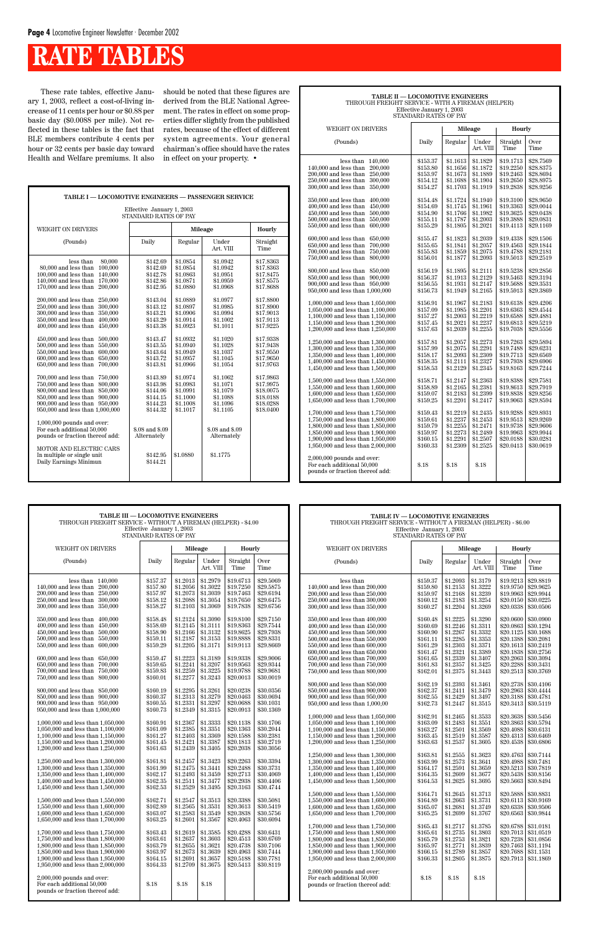| <b>TABLE II - LOCOMOTIVE ENGINEERS</b><br>THROUGH FREIGHT SERVICE - WITH A FIREMAN (HELPER)<br>Effective January 1, 2003<br>STANDARD RATES OF PAY                                                                                                                                                                                                                                                                                                                                                                                                                                                                                                                                                                                                                                                                                                                                                                                                                                                                                                                                                                                                                                                                                                                                                                                              |                                                                                                                                                                                                                                                                                                                                                                                                                                              |                                                                                                                                                                                                                                                                                                                                                                                                                                              |                                                                                                                                                                                                                                                                                                                                                                                                                                              |                                                                                                                                                                                                                                                                                                                                                                                                                                                                                  |                                                                                                                                                                                                                                                                                                                                                                                                                                                                                  |  |  |
|------------------------------------------------------------------------------------------------------------------------------------------------------------------------------------------------------------------------------------------------------------------------------------------------------------------------------------------------------------------------------------------------------------------------------------------------------------------------------------------------------------------------------------------------------------------------------------------------------------------------------------------------------------------------------------------------------------------------------------------------------------------------------------------------------------------------------------------------------------------------------------------------------------------------------------------------------------------------------------------------------------------------------------------------------------------------------------------------------------------------------------------------------------------------------------------------------------------------------------------------------------------------------------------------------------------------------------------------|----------------------------------------------------------------------------------------------------------------------------------------------------------------------------------------------------------------------------------------------------------------------------------------------------------------------------------------------------------------------------------------------------------------------------------------------|----------------------------------------------------------------------------------------------------------------------------------------------------------------------------------------------------------------------------------------------------------------------------------------------------------------------------------------------------------------------------------------------------------------------------------------------|----------------------------------------------------------------------------------------------------------------------------------------------------------------------------------------------------------------------------------------------------------------------------------------------------------------------------------------------------------------------------------------------------------------------------------------------|----------------------------------------------------------------------------------------------------------------------------------------------------------------------------------------------------------------------------------------------------------------------------------------------------------------------------------------------------------------------------------------------------------------------------------------------------------------------------------|----------------------------------------------------------------------------------------------------------------------------------------------------------------------------------------------------------------------------------------------------------------------------------------------------------------------------------------------------------------------------------------------------------------------------------------------------------------------------------|--|--|
| <b>WEIGHT ON DRIVERS</b>                                                                                                                                                                                                                                                                                                                                                                                                                                                                                                                                                                                                                                                                                                                                                                                                                                                                                                                                                                                                                                                                                                                                                                                                                                                                                                                       |                                                                                                                                                                                                                                                                                                                                                                                                                                              |                                                                                                                                                                                                                                                                                                                                                                                                                                              | Mileage                                                                                                                                                                                                                                                                                                                                                                                                                                      | Hourly                                                                                                                                                                                                                                                                                                                                                                                                                                                                           |                                                                                                                                                                                                                                                                                                                                                                                                                                                                                  |  |  |
| (Pounds)                                                                                                                                                                                                                                                                                                                                                                                                                                                                                                                                                                                                                                                                                                                                                                                                                                                                                                                                                                                                                                                                                                                                                                                                                                                                                                                                       | Daily                                                                                                                                                                                                                                                                                                                                                                                                                                        | Regular                                                                                                                                                                                                                                                                                                                                                                                                                                      | Under<br>Art. VIII                                                                                                                                                                                                                                                                                                                                                                                                                           | Straight<br>Time                                                                                                                                                                                                                                                                                                                                                                                                                                                                 | Over<br>Time                                                                                                                                                                                                                                                                                                                                                                                                                                                                     |  |  |
| 140.000<br>less than<br>140,000 and less than<br>200,000<br>200,000 and less than<br>250,000<br>250,000 and less than<br>300,000<br>300,000 and less than<br>350,000<br>350,000 and less than<br>400,000<br>400,000 and less than<br>450,000<br>450,000 and less than<br>500,000<br>500,000 and less than<br>550,000<br>550,000 and less than<br>600,000<br>600,000 and less than<br>650,000<br>650,000 and less than<br>700,000<br>700,000 and less than<br>750,000<br>750,000 and less than<br>800,000<br>800,000 and less than<br>850,000<br>850,000 and less than<br>900,000<br>900,000 and less than 950,000<br>950,000 and less than 1,000,000<br>1,000,000 and less than 1,050,000<br>1,050,000 and less than 1,100,000<br>1,100,000 and less than 1,150,000<br>1,150,000 and less than 1,200,000<br>1,200,000 and less than 1,250,000<br>1,250,000 and less than 1,300,000<br>1,300,000 and less than 1,350,000<br>1,350,000 and less than 1,400,000<br>1,400,000 and less than 1,450,000<br>1,450,000 and less than 1,500,000<br>1,500,000 and less than 1,550,000<br>1,550,000 and less than 1,600,000<br>1,600,000 and less than 1,650,000<br>1,650,000 and less than 1,700,000<br>1,700,000 and less than 1,750,000<br>1.750,000 and less than 1.800,000<br>1,800,000 and less than 1,850,000<br>1,850,000 and less than 1,900,000 | \$153.37<br>\$153.80<br>\$153.97<br>\$154.12<br>\$154.27<br>\$154.48<br>\$154.69<br>\$154.90<br>\$155.11<br>\$155.29<br>\$155.47<br>\$155.65<br>\$155.83<br>\$156.01<br>\$156.19<br>\$156.37<br>\$156.55<br>\$156.73<br>\$156.91<br>\$157.09<br>\$157.27<br>\$157.45<br>\$157.63<br>\$157.81<br>\$157.99<br>\$158.17<br>\$158.35<br>\$158.53<br>\$158.71<br>\$158.89<br>\$159.07<br>\$159.25<br>\$159.43<br>\$159.61<br>\$159.79<br>\$159.97 | \$1.1613<br>\$1.1656<br>\$1.1673<br>\$1.1688<br>\$1.1703<br>\$1.1724<br>\$1.1745<br>\$1.1766<br>\$1.1787<br>\$1.1805<br>\$1.1823<br>\$1.1841<br>\$1.1859<br>\$1.1877<br>\$1.1895<br>\$1.1913<br>\$1.1931<br>\$1.1949<br>\$1.1967<br>\$1.1985<br>\$1.2003<br>\$1.2021<br>\$1.2039<br>\$1.2057<br>\$1.2075<br>\$1.2093<br>\$1.2111<br>\$1.2129<br>\$1.2147<br>\$1.2165<br>\$1.2183<br>\$1.2201<br>\$1.2219<br>\$1.2237<br>\$1.2255<br>\$1.2273 | \$1.1829<br>\$1.1872<br>\$1.1889<br>\$1.1904<br>\$1.1919<br>\$1.1940<br>\$1.1961<br>\$1.1982<br>\$1.2003<br>\$1.2021<br>\$1.2039<br>\$1.2057<br>\$1.2075<br>\$1.2093<br>\$1.2111<br>\$1.2129<br>\$1.2147<br>\$1.2165<br>\$1.2183<br>\$1.2201<br>\$1.2219<br>\$1.2237<br>\$1.2255<br>\$1.2273<br>\$1.2291<br>\$1.2309<br>\$1.2327<br>\$1.2345<br>\$1.2363<br>\$1.2381<br>\$1.2399<br>\$1.2417<br>\$1.2435<br>\$1.2453<br>\$1.2471<br>\$1.2489 | \$19.1713<br>\$19.2250<br>\$19.2463<br>\$19.2650<br>\$19.2838<br>\$19.3100<br>\$19.3363<br>\$19.3625<br>\$19.3888<br>\$19.4113<br>\$19.4338<br>\$19.4563<br>\$19.4788<br>\$19.5013<br>\$19.5238<br>\$19.5463<br>\$19.5688<br>\$19.5913<br>\$19.6138<br>\$19.6363<br>\$19.6588<br>\$19.6813<br>\$19.7038<br>\$19.7263<br>\$19.7488<br>\$19.7713<br>\$19.7938<br>\$19.8163<br>\$19.8388<br>\$19.8613<br>\$19.8838<br>\$19.9063<br>\$19.9288<br>\$19.9513<br>\$19.9738<br>\$19.9963 | \$28.7569<br>\$28.8375<br>\$28.8694<br>\$28.8975<br>\$28.9256<br>\$28.9650<br>\$29.0044<br>\$29.0438<br>\$29.0831<br>\$29.1169<br>\$29.1506<br>\$29.1844<br>\$29.2181<br>\$29.2519<br>\$29.2856<br>\$29.3194<br>\$29.3531<br>\$29.3869<br>\$29.4206<br>\$29.4544<br>\$29.4881<br>\$29.5219<br>\$29.5556<br>\$29.5894<br>\$29.6231<br>\$29.6569<br>\$29.6906<br>\$29.7244<br>\$29.7581<br>\$29.7919<br>\$29.8256<br>\$29.8594<br>\$29.8931<br>\$29.9269<br>\$29.9606<br>\$29.9944 |  |  |
| 1,900,000 and less than 1,950,000<br>1,950,000 and less than 2,000,000<br>$2,000,000$ pounds and over:<br>For each additional 50,000<br>pounds or fraction thereof add:                                                                                                                                                                                                                                                                                                                                                                                                                                                                                                                                                                                                                                                                                                                                                                                                                                                                                                                                                                                                                                                                                                                                                                        | \$160.15<br>\$160.33<br>\$.18                                                                                                                                                                                                                                                                                                                                                                                                                | \$1.2291<br>\$1.2309<br>\$.18                                                                                                                                                                                                                                                                                                                                                                                                                | \$1.2507<br>\$1.2525<br>\$.18                                                                                                                                                                                                                                                                                                                                                                                                                | \$20.0188<br>\$20.0413                                                                                                                                                                                                                                                                                                                                                                                                                                                           | \$30.0281<br>\$30.0619                                                                                                                                                                                                                                                                                                                                                                                                                                                           |  |  |

## **RATE TABLES**

| TABLE I - LOCOMOTIVE ENGINEERS - PASSENGER SERVICE                                                                                                                                                                                                                                                                                                                                                                                                                                                                                                                                                                                                                                                                                                                                                                                                                                                                                                      |                                                                                                                                                                                                                                                                                                                    |                                                                                                                                                                                                                                                                      |                                                                                                                                                                                                                                                                                                        |                                                                                                                                                                                                                                                                               |  |  |
|---------------------------------------------------------------------------------------------------------------------------------------------------------------------------------------------------------------------------------------------------------------------------------------------------------------------------------------------------------------------------------------------------------------------------------------------------------------------------------------------------------------------------------------------------------------------------------------------------------------------------------------------------------------------------------------------------------------------------------------------------------------------------------------------------------------------------------------------------------------------------------------------------------------------------------------------------------|--------------------------------------------------------------------------------------------------------------------------------------------------------------------------------------------------------------------------------------------------------------------------------------------------------------------|----------------------------------------------------------------------------------------------------------------------------------------------------------------------------------------------------------------------------------------------------------------------|--------------------------------------------------------------------------------------------------------------------------------------------------------------------------------------------------------------------------------------------------------------------------------------------------------|-------------------------------------------------------------------------------------------------------------------------------------------------------------------------------------------------------------------------------------------------------------------------------|--|--|
| Effective January 1, 2003<br><b>STANDARD RATES OF PAY</b>                                                                                                                                                                                                                                                                                                                                                                                                                                                                                                                                                                                                                                                                                                                                                                                                                                                                                               |                                                                                                                                                                                                                                                                                                                    |                                                                                                                                                                                                                                                                      |                                                                                                                                                                                                                                                                                                        |                                                                                                                                                                                                                                                                               |  |  |
| <b>WEIGHT ON DRIVERS</b>                                                                                                                                                                                                                                                                                                                                                                                                                                                                                                                                                                                                                                                                                                                                                                                                                                                                                                                                |                                                                                                                                                                                                                                                                                                                    | Mileage                                                                                                                                                                                                                                                              |                                                                                                                                                                                                                                                                                                        |                                                                                                                                                                                                                                                                               |  |  |
| (Pounds)                                                                                                                                                                                                                                                                                                                                                                                                                                                                                                                                                                                                                                                                                                                                                                                                                                                                                                                                                | Daily                                                                                                                                                                                                                                                                                                              | Regular                                                                                                                                                                                                                                                              | Under<br>Art. VIII                                                                                                                                                                                                                                                                                     | Straight<br>Time                                                                                                                                                                                                                                                              |  |  |
| less than<br>80,000<br>80,000 and less than<br>100,000<br>100,000 and less than<br>140.000<br>140,000 and less than<br>170,000<br>170,000 and less than<br>200,000<br>200,000 and less than<br>250,000<br>250,000 and less than<br>300,000<br>300,000 and less than<br>350,000<br>350,000 and less than<br>400.000<br>400,000 and less than<br>450,000<br>$450,000$ and less than<br>500,000<br>500,000 and less than<br>550,000<br>550,000 and less than<br>600,000<br>600,000 and less than<br>650,000<br>650,000 and less than<br>700,000<br>700,000 and less than<br>750,000<br>750,000 and less than<br>800,000<br>800,000 and less than<br>850,000<br>850,000 and less than<br>900,000<br>950,000<br>900,000 and less than<br>950,000 and less than 1,000,000<br>$1,000,000$ pounds and over:<br>For each additional 50,000<br>pounds or fraction thereof add:<br>MOTOR AND ELECTRIC CARS<br>In multiple or single unit<br>Daily Earnings Minimun | \$142.69<br>\$142.69<br>\$142.78<br>\$142.86<br>\$142.95<br>\$143.04<br>\$143.12<br>\$143.21<br>\$143.29<br>\$143.38<br>\$143.47<br>\$143.55<br>\$143.64<br>\$143.72<br>\$143.81<br>\$143.89<br>\$143.98<br>\$144.06<br>\$144.15<br>\$144.23<br>\$144.32<br>\$.08 and \$.09<br>Alternately<br>\$142.95<br>\$144.21 | \$1.0854<br>\$1.0854<br>\$1.0863<br>\$1.0871<br>\$1.0880<br>\$1.0889<br>\$1.0897<br>\$1.0906<br>\$1.0914<br>\$1.0923<br>\$1.0932<br>\$1.0940<br>\$1.0949<br>\$1.0957<br>\$1.0966<br>\$1.0974<br>\$1.0983<br>\$1.0991<br>\$1.1000<br>\$1.1008<br>\$1.1017<br>\$1,0880 | \$1.0942<br>\$1.0942<br>\$1.0951<br>\$1.0959<br>\$1.0968<br>\$1.0977<br>\$1.0985<br>\$1.0994<br>\$1.1002<br>\$1.1011<br>\$1.1020<br>\$1.1028<br>\$1.1037<br>\$1.1045<br>\$1.1054<br>\$1.1062<br>\$1.1071<br>\$1,1079<br>\$1.1088<br>\$1.1096<br>\$1.1105<br>\$.08 and \$.09<br>Alternately<br>\$1.1775 | \$17.8363<br>\$17.8363<br>\$17.8475<br>\$17.8575<br>\$17.8688<br>\$17.8800<br>\$17.8900<br>\$17.9013<br>\$17.9113<br>\$17.9225<br>\$17.9338<br>\$17.9438<br>\$17.9550<br>\$17.9650<br>\$17.9763<br>\$17.9863<br>\$17.9975<br>\$18,0075<br>\$18,0188<br>\$18,0288<br>\$18,0400 |  |  |
|                                                                                                                                                                                                                                                                                                                                                                                                                                                                                                                                                                                                                                                                                                                                                                                                                                                                                                                                                         |                                                                                                                                                                                                                                                                                                                    |                                                                                                                                                                                                                                                                      |                                                                                                                                                                                                                                                                                                        |                                                                                                                                                                                                                                                                               |  |  |

| TABLE III - LOCOMOTIVE ENGINEERS<br>THROUGH FREIGHT SERVICE - WITHOUT A FIREMAN (HELPER) - \$4.00                                                                                                                                                                                                                                                                                                                                                                                                                                                                                                                                                                                                                                                                                                                                                                                                                                                                                                                                                                                                                                                                                                                                                                                                                                                                                                                                 | Effective January 1, 2003<br>STANDARD RATES OF PAY                                                                                                                                                                                                                                                                                                                                                                                                                   |                                                                                                                                                                                                                                                                                                                                                                                                                                                                      |                                                                                                                                                                                                                                                                                                                                                                                                                                                                      |                                                                                                                                                                                                                                                                                                                                                                                                                                                                                                            |                                                                                                                                                                                                                                                                                                                                                                                                                                                                                                            | TABLE IV - LOCOMOTIVE ENGINEERS<br>THROUGH FREIGHT SERVICE - WITHOUT A FIREMAN (HELPER) - \$6.00                                                                                                                                                                                                                                                                                                                                                                                                                                                                                                                                                                                                                                                                                                                                                                                                                                                                                                                                                                                                                                                                                                                                                                                                                                                                                                | Effective January 1, 2003<br>STANDARD RATES OF PAY                                                                                                                                                                                                                                                                                                                                                                                                                   |                                                                                                                                                                                                                                                                                                                                                                                                                                                                               |                                                                                                                                                                                                                                                                                                                                                                                                                                                                               |                                                                                                                                                                                                                                                                                                                                                             |                                                                                                                                                                                                                                                                                                                                                                                                                                                                                                                                                                                                                              |
|-----------------------------------------------------------------------------------------------------------------------------------------------------------------------------------------------------------------------------------------------------------------------------------------------------------------------------------------------------------------------------------------------------------------------------------------------------------------------------------------------------------------------------------------------------------------------------------------------------------------------------------------------------------------------------------------------------------------------------------------------------------------------------------------------------------------------------------------------------------------------------------------------------------------------------------------------------------------------------------------------------------------------------------------------------------------------------------------------------------------------------------------------------------------------------------------------------------------------------------------------------------------------------------------------------------------------------------------------------------------------------------------------------------------------------------|----------------------------------------------------------------------------------------------------------------------------------------------------------------------------------------------------------------------------------------------------------------------------------------------------------------------------------------------------------------------------------------------------------------------------------------------------------------------|----------------------------------------------------------------------------------------------------------------------------------------------------------------------------------------------------------------------------------------------------------------------------------------------------------------------------------------------------------------------------------------------------------------------------------------------------------------------|----------------------------------------------------------------------------------------------------------------------------------------------------------------------------------------------------------------------------------------------------------------------------------------------------------------------------------------------------------------------------------------------------------------------------------------------------------------------|------------------------------------------------------------------------------------------------------------------------------------------------------------------------------------------------------------------------------------------------------------------------------------------------------------------------------------------------------------------------------------------------------------------------------------------------------------------------------------------------------------|------------------------------------------------------------------------------------------------------------------------------------------------------------------------------------------------------------------------------------------------------------------------------------------------------------------------------------------------------------------------------------------------------------------------------------------------------------------------------------------------------------|-------------------------------------------------------------------------------------------------------------------------------------------------------------------------------------------------------------------------------------------------------------------------------------------------------------------------------------------------------------------------------------------------------------------------------------------------------------------------------------------------------------------------------------------------------------------------------------------------------------------------------------------------------------------------------------------------------------------------------------------------------------------------------------------------------------------------------------------------------------------------------------------------------------------------------------------------------------------------------------------------------------------------------------------------------------------------------------------------------------------------------------------------------------------------------------------------------------------------------------------------------------------------------------------------------------------------------------------------------------------------------------------------|----------------------------------------------------------------------------------------------------------------------------------------------------------------------------------------------------------------------------------------------------------------------------------------------------------------------------------------------------------------------------------------------------------------------------------------------------------------------|-------------------------------------------------------------------------------------------------------------------------------------------------------------------------------------------------------------------------------------------------------------------------------------------------------------------------------------------------------------------------------------------------------------------------------------------------------------------------------|-------------------------------------------------------------------------------------------------------------------------------------------------------------------------------------------------------------------------------------------------------------------------------------------------------------------------------------------------------------------------------------------------------------------------------------------------------------------------------|-------------------------------------------------------------------------------------------------------------------------------------------------------------------------------------------------------------------------------------------------------------------------------------------------------------------------------------------------------------|------------------------------------------------------------------------------------------------------------------------------------------------------------------------------------------------------------------------------------------------------------------------------------------------------------------------------------------------------------------------------------------------------------------------------------------------------------------------------------------------------------------------------------------------------------------------------------------------------------------------------|
| <b>WEIGHT ON DRIVERS</b>                                                                                                                                                                                                                                                                                                                                                                                                                                                                                                                                                                                                                                                                                                                                                                                                                                                                                                                                                                                                                                                                                                                                                                                                                                                                                                                                                                                                          |                                                                                                                                                                                                                                                                                                                                                                                                                                                                      | Mileage                                                                                                                                                                                                                                                                                                                                                                                                                                                              |                                                                                                                                                                                                                                                                                                                                                                                                                                                                      | Hourly                                                                                                                                                                                                                                                                                                                                                                                                                                                                                                     |                                                                                                                                                                                                                                                                                                                                                                                                                                                                                                            | <b>WEIGHT ON DRIVERS</b>                                                                                                                                                                                                                                                                                                                                                                                                                                                                                                                                                                                                                                                                                                                                                                                                                                                                                                                                                                                                                                                                                                                                                                                                                                                                                                                                                                        |                                                                                                                                                                                                                                                                                                                                                                                                                                                                      |                                                                                                                                                                                                                                                                                                                                                                                                                                                                               | Mileage                                                                                                                                                                                                                                                                                                                                                                                                                                                                       | Hourly                                                                                                                                                                                                                                                                                                                                                      |                                                                                                                                                                                                                                                                                                                                                                                                                                                                                                                                                                                                                              |
| (Pounds)                                                                                                                                                                                                                                                                                                                                                                                                                                                                                                                                                                                                                                                                                                                                                                                                                                                                                                                                                                                                                                                                                                                                                                                                                                                                                                                                                                                                                          | Daily                                                                                                                                                                                                                                                                                                                                                                                                                                                                | Regular                                                                                                                                                                                                                                                                                                                                                                                                                                                              | Under<br>Art. VIII                                                                                                                                                                                                                                                                                                                                                                                                                                                   | Straight<br>Time                                                                                                                                                                                                                                                                                                                                                                                                                                                                                           | <b>Over</b><br>Time                                                                                                                                                                                                                                                                                                                                                                                                                                                                                        | (Pounds)                                                                                                                                                                                                                                                                                                                                                                                                                                                                                                                                                                                                                                                                                                                                                                                                                                                                                                                                                                                                                                                                                                                                                                                                                                                                                                                                                                                        | Daily                                                                                                                                                                                                                                                                                                                                                                                                                                                                | Regular                                                                                                                                                                                                                                                                                                                                                                                                                                                                       | Under<br>Art. VIII                                                                                                                                                                                                                                                                                                                                                                                                                                                            | Straight<br>Time                                                                                                                                                                                                                                                                                                                                            | Over<br>Time                                                                                                                                                                                                                                                                                                                                                                                                                                                                                                                                                                                                                 |
| less than 140,000<br>140,000 and less than<br>200,000<br>200,000 and less than 250,000<br>250,000 and less than 300,000<br>300,000 and less than 350,000<br>350,000 and less than 400,000<br>400,000 and less than 450,000<br>450,000 and less than 500,000<br>500,000 and less than 550,000<br>$550,000$ and less than<br>600.000<br>600,000 and less than 650,000<br>700,000<br>$650,000$ and less than<br>700,000 and less than 750,000<br>750,000 and less than 800,000<br>800,000 and less than 850,000<br>850,000 and less than 900,000<br>900,000 and less than 950,000<br>950,000 and less than 1,000,000<br>1,000,000 and less than 1,050,000<br>1,050,000 and less than 1,100,000<br>1,100,000 and less than 1,150,000<br>1,150,000 and less than 1,200,000<br>1,200,000 and less than 1,250,000<br>$1,\!250,\!000$ and less than $1,\!300,\!000$<br>1,300,000 and less than 1,350,000<br>1,350,000 and less than 1,400,000<br>1,400,000 and less than 1,450,000<br>1,450,000 and less than 1,500,000<br>1,500,000 and less than 1,550,000<br>1,550,000 and less than 1,600,000<br>1,600,000 and less than 1,650,000<br>1,650,000 and less than 1,700,000<br>1,700,000 and less than 1,750,000<br>1,750,000 and less than 1,800,000<br>1,800,000 and less than 1,850,000<br>1,850,000 and less than 1,900,000<br>1,900,000 and less than 1,950,000<br>1,950,000 and less than 2,000,000<br>$2,000,000$ pounds and over: | \$157.37<br>\$157.80<br>\$157.97<br>\$158.12<br>\$158.27<br>\$158.48<br>\$158.69<br>\$158.90<br>\$159.11<br>\$159.29<br>\$159.47<br>\$159.65<br>\$159.83<br>\$160.01<br>\$160.19<br>\$160.37<br>\$160.55<br>\$160.73<br>\$160.91<br>\$161.09<br>\$161.27<br>\$161.45<br>\$161.63<br>\$161.81<br>\$161.99<br>\$162.17<br>\$162.35<br>\$162.53<br>\$162.71<br>\$162.89<br>\$163.07<br>\$163.25<br>\$163.43<br>\$163.61<br>\$163.79<br>\$163.97<br>\$164.15<br>\$164.33 | \$1.2013<br>\$1.2056<br>\$1.2073<br>\$1.2088<br>\$1.2103<br>\$1.2124<br>\$1.2145<br>\$1.2166<br>\$1.2187<br>\$1.2205<br>\$1,2223<br>\$1.2241<br>\$1.2259<br>\$1.2277<br>\$1.2295<br>\$1.2313<br>\$1.2331<br>\$1.2349<br>\$1.2367<br>\$1.2385<br>\$1.2403<br>\$1.2421<br>\$1.2439<br>\$1.2457<br>\$1.2475<br>\$1.2493<br>\$1.2511<br>\$1.2529<br>\$1.2547<br>\$1.2565<br>\$1.2583<br>\$1.2601<br>\$1.2619<br>\$1.2637<br>\$1.2655<br>\$1.2673<br>\$1.2691<br>\$1.2709 | \$1,2979<br>\$1.3022<br>\$1.3039<br>\$1.3054<br>\$1.3069<br>\$1.3090<br>\$1.3111<br>\$1.3132<br>\$1.3153<br>\$1.3171<br>\$1.3189<br>\$1.3207<br>\$1.3225<br>\$1.3243<br>\$1.3261<br>\$1.3279<br>\$1.3297<br>\$1.3315<br>\$1.3333<br>\$1.3351<br>\$1.3369<br>\$1.3387<br>\$1.3405<br>\$1.3423<br>\$1.3441<br>\$1.3459<br>\$1.3477<br>\$1.3495<br>\$1.3513<br>\$1.3531<br>\$1.3549<br>\$1.3567<br>\$1.3585<br>\$1.3603<br>\$1.3621<br>\$1.3639<br>\$1.3657<br>\$1.3675 | \$19.6713<br>\$19.7250<br>\$19.7463<br>\$19.7650<br>\$19.7838<br>\$19.8100<br>\$19.8363<br>\$19.8625<br>\$19.8888<br>\$19.9113<br>\$19.9338<br>\$19.9563<br>\$19.9788<br>\$20.0013<br>\$20.0238<br>\$20.0463<br>\$20.0688<br>\$20.0913<br>\$20.1138<br>\$20.1363<br>\$20.1588<br>\$20.1813<br>\$20.2038<br>\$20.2263<br>\$20.2488<br>\$20.2713<br>\$20.2938<br>\$20.3163<br>\$20.3388<br>\$20.3613<br>\$20.3838<br>\$20.4063<br>\$20.4288<br>\$20.4513<br>\$20.4738<br>\$20.4963<br>\$20.5188<br>\$20.5413 | \$29.5069<br>\$29.5875<br>\$29.6194<br>\$29.6475<br>\$29.6756<br>\$29.7150<br>\$29.7544<br>\$29.7938<br>\$29.8331<br>\$29.8669<br>\$29.9006<br>\$29.9344<br>\$29.9681<br>\$30,0019<br>\$30.0356<br>\$30.0694<br>\$30.1031<br>\$30.1369<br>\$30.1706<br>\$30.2044<br>\$30.2381<br>\$30.2719<br>\$30.3056<br>\$30.3394<br>\$30.3731<br>\$30.4069<br>\$30.4406<br>\$30.4744<br>\$30.5081<br>\$30.5419<br>\$30.5756<br>\$30.6094<br>\$30.6431<br>\$30.6769<br>\$30.7106<br>\$30.7444<br>\$30.7781<br>\$30.8119 | less than<br>140,000 and less than 200,000<br>200,000 and less than 250,000<br>250,000 and less than 300,000<br>300,000 and less than 350,000<br>350,000 and less than 400,000<br>400,000 and less than 450,000<br>450,000 and less than 500,000<br>500,000 and less than 550,000<br>550,000 and less than 600,000<br>600,000 and less than 650,000<br>650,000 and less than 700,000<br>700,000 and less than 750,000<br>750,000 and less than 800,000<br>800,000 and less than 850,000<br>850,000 and less than 900,000<br>900,000 and less than 950,000<br>950,000 and less than 1,000,00<br>1,000,000 and less than 1,050,000<br>1,050,000 and less than 1,100,000<br>1.100,000 and less than 1.150,000<br>1,150,000 and less than 1,200,000<br>1,200,000 and less than 1,250,000<br>1,250,000 and less than 1,300,000<br>1,300,000 and less than 1,350,000<br>1,350,000 and less than 1,400,000<br>1,400,000 and less than 1,450,000<br>1,450,000 and less than 1,500,000<br>1,500,000 and less than 1,550,000<br>1,550,000 and less than 1,600,000<br>1,600,000 and less than 1,650,000<br>1,650,000 and less than 1,700,000<br>1.700,000 and less than 1.750,000<br>1.750,000 and less than 1.800,000<br>1,800,000 and less than 1,850,000<br>1,850,000 and less than 1,900,000<br>1,900,000 and less than 1,950,000<br>1,950,000 and less than 2,000,000<br>$2,000,000$ pounds and over: | \$159.37<br>\$159.80<br>\$159.97<br>\$160.12<br>\$160.27<br>\$160.48<br>\$160.69<br>\$160.90<br>\$161.11<br>\$161.29<br>\$161.47<br>\$161.65<br>\$161.83<br>\$162.01<br>\$162.19<br>\$162.37<br>\$162.55<br>\$162.73<br>\$162.91<br>\$163.09<br>\$163.27<br>\$163.45<br>\$163.63<br>\$163.81<br>\$163.99<br>\$164.17<br>\$164.35<br>\$164.53<br>\$164.71<br>\$164.89<br>\$165.07<br>\$165.25<br>\$165.43<br>\$165.61<br>\$165.79<br>\$165.97<br>\$166.15<br>\$166.33 | \$1.2093<br>\$1.2153<br>\$1.2168<br>\$1.2183<br>\$1.2204<br>\$1.2225<br>\$1.2246<br>\$1.2267<br>\$1,2285<br>\$1.2303<br>\$1.2321<br>\$1.2339<br>\$1.2357<br>\$1.2375<br>\$1.2393<br>\$1.2411<br>\$1.2429<br>\$1.2447<br>\$1.2465<br>\$1.2483<br>\$1.2501<br>\$1.2519<br>\$1.2537<br>\$1.2555<br>\$1.2573<br>\$1.2591<br>\$1.2609<br>\$1.2625<br>\$1.2645<br>\$1.2663<br>\$1.2681<br>\$1.2699<br>\$1.2717<br>\$1.2735<br>\$1.2753<br>\$1.2771<br>\$1.2789<br>\$1.2805<br>\$.18 | \$1.3179<br>\$1.3222<br>\$1.3239<br>\$1.3254<br>\$1.3269<br>\$1.3290<br>\$1.3311<br>\$1.3332<br>\$1.3353<br>\$1.3371<br>\$1.3389<br>\$1.3407<br>\$1.3425<br>\$1.3443<br>\$1.3461<br>\$1.3479<br>\$1.3497<br>\$1.3515<br>\$1.3533<br>\$1.3551<br>\$1.3569<br>\$1.3587<br>\$1.3605<br>\$1.3623<br>\$1.3641<br>\$1.3659<br>\$1.3677<br>\$1.3695<br>\$1.3713<br>\$1.3731<br>\$1.3749<br>\$1.3767<br>\$1.3785<br>\$1.3803<br>\$1.3821<br>\$1.3839<br>\$1.3857<br>\$1.3875<br>\$.18 | \$19.9213<br>\$19.9750<br>\$20.0150<br>\$20.0338<br>\$20.0863<br>\$20.1388<br>\$20.2063<br>\$20.2288<br>\$20.2738<br>\$20.2963<br>\$20.3188<br>\$20.3638<br>\$20.3863<br>\$20.4088<br>\$20.4313<br>\$20.4988<br>\$20.5213<br>\$20.5438<br>\$20.5663<br>\$20.5888<br>\$20.6113<br>\$20.6338<br>\$20.6563<br>\$20.6788<br>\$20.7013<br>\$20.7463<br>\$20.7688 | \$29,8819<br>\$29.9625<br>\$19.9963   \$29.9944<br>\$30.0225<br>\$30.0506<br>\$20.0600 \$30.0900<br>\$30.1294<br>\$20.1125 \$30.1688<br>\$30.2081<br>\$20.1613 \$30.2419<br>\$20.1838 \$30.2756<br>\$30.3094<br>\$30.3431<br>\$20.2513 \$30.3769<br>\$30.4106<br>\$30,4444<br>\$30.4781<br>$$20.3413$$ \$30.5119<br>\$30.5456<br>\$30.5794<br>\$30.6131<br>\$30.6469<br>\$20.4538 \$30.6806<br>\$20.4763 \$30.7144<br>\$30.7481<br>\$30.7819<br>\$30.8156<br>\$30.8494<br>\$30.8831<br>\$30.9169<br>\$30.9506<br>\$30.9844<br>\$31,0181<br>\$31.0519<br>\$20.7238 \$31.0856<br>\$31.1194<br>\$31.1531<br>\$20.7913 \$31.1869 |
| For each additional 50,000<br>pounds or fraction thereof add:                                                                                                                                                                                                                                                                                                                                                                                                                                                                                                                                                                                                                                                                                                                                                                                                                                                                                                                                                                                                                                                                                                                                                                                                                                                                                                                                                                     | \$.18                                                                                                                                                                                                                                                                                                                                                                                                                                                                | \$.18                                                                                                                                                                                                                                                                                                                                                                                                                                                                | \$.18                                                                                                                                                                                                                                                                                                                                                                                                                                                                |                                                                                                                                                                                                                                                                                                                                                                                                                                                                                                            |                                                                                                                                                                                                                                                                                                                                                                                                                                                                                                            | For each additional 50,000<br>pounds or fraction thereof add:                                                                                                                                                                                                                                                                                                                                                                                                                                                                                                                                                                                                                                                                                                                                                                                                                                                                                                                                                                                                                                                                                                                                                                                                                                                                                                                                   | \$.18                                                                                                                                                                                                                                                                                                                                                                                                                                                                |                                                                                                                                                                                                                                                                                                                                                                                                                                                                               |                                                                                                                                                                                                                                                                                                                                                                                                                                                                               |                                                                                                                                                                                                                                                                                                                                                             |                                                                                                                                                                                                                                                                                                                                                                                                                                                                                                                                                                                                                              |

1 r

|                                                                                                                                                                                                                                                            | Effective January 1, 2003<br>STANDARD RATES OF PAY                                           |                                                                                              |                                                                                              |                                                                                                      |                                                                                                      |                                                                                                                                                                                                                                                  | Effective January 1, 2003<br>STANDARD RATES OF PAY                                           |                                                                                              |                                                                                              |                                                                            |                                                                                                                            |
|------------------------------------------------------------------------------------------------------------------------------------------------------------------------------------------------------------------------------------------------------------|----------------------------------------------------------------------------------------------|----------------------------------------------------------------------------------------------|----------------------------------------------------------------------------------------------|------------------------------------------------------------------------------------------------------|------------------------------------------------------------------------------------------------------|--------------------------------------------------------------------------------------------------------------------------------------------------------------------------------------------------------------------------------------------------|----------------------------------------------------------------------------------------------|----------------------------------------------------------------------------------------------|----------------------------------------------------------------------------------------------|----------------------------------------------------------------------------|----------------------------------------------------------------------------------------------------------------------------|
| WEIGHT ON DRIVERS                                                                                                                                                                                                                                          |                                                                                              | Mileage                                                                                      |                                                                                              | Hourly                                                                                               |                                                                                                      | WEIGHT ON DRIVERS                                                                                                                                                                                                                                |                                                                                              |                                                                                              | Mileage                                                                                      | Hourly                                                                     |                                                                                                                            |
| (Pounds)                                                                                                                                                                                                                                                   | Daily                                                                                        | Regular                                                                                      | Under<br>Art. VIII                                                                           | Straight<br>Time                                                                                     | Over<br>Time                                                                                         | (Pounds)                                                                                                                                                                                                                                         | Daily                                                                                        | Regular                                                                                      | Under<br>Art. VIII                                                                           | Straight<br>Time                                                           | Over<br>Time                                                                                                               |
| less than $140,000$<br>140,000 and less than 200,000<br>200,000 and less than 250,000<br>250,000 and less than 300,000<br>300,000 and less than 350,000<br>350,000 and less than 400,000<br>400,000 and less than 450,000<br>450,000 and less than 500,000 | \$157.37<br>\$157.80<br>\$157.97<br>\$158.12<br>\$158.27<br>\$158.48<br>\$158.69<br>\$158.90 | \$1.2013<br>\$1.2056<br>\$1.2073<br>\$1.2088<br>\$1.2103<br>\$1.2124<br>\$1.2145<br>\$1.2166 | \$1.2979<br>\$1.3022<br>\$1.3039<br>\$1.3054<br>\$1.3069<br>\$1.3090<br>\$1.3111<br>\$1.3132 | \$19.6713<br>\$19.7250<br>\$19.7463<br>\$19.7650<br>\$19.7838<br>\$19.8100<br>\$19.8363<br>\$19.8625 | \$29.5069<br>\$29.5875<br>\$29.6194<br>\$29.6475<br>\$29.6756<br>\$29.7150<br>\$29.7544<br>\$29.7938 | less than<br>140,000 and less than 200,000<br>200,000 and less than 250,000<br>250,000 and less than 300,000<br>300,000 and less than 350,000<br>350,000 and less than 400,000<br>400,000 and less than 450,000<br>450,000 and less than 500,000 | \$159.37<br>\$159.80<br>\$159.97<br>\$160.12<br>\$160.27<br>\$160.48<br>\$160.69<br>\$160.90 | \$1.2093<br>\$1.2153<br>\$1.2168<br>\$1.2183<br>\$1.2204<br>\$1.2225<br>\$1.2246<br>\$1.2267 | \$1.3179<br>\$1.3222<br>\$1.3239<br>\$1.3254<br>\$1.3269<br>\$1.3290<br>\$1.3311<br>\$1.3332 | \$19.9213<br>\$19.9750<br>\$19.9963<br>\$20.0150<br>\$20.0600<br>\$20.0863 | \$29.8819<br>\$29.9625<br>\$29.9944<br>\$30.0225<br>$$20.0338$ \$30.0506<br>\$30.0900<br>\$30.1294<br>$$20.1125$ \$30.1688 |
| 500,000 and less than 550,000<br>550,000 and less than 600,000<br>600,000 and less than 650,000<br>650,000 and less than 700,000                                                                                                                           | \$159.11<br>\$159.29<br>\$159.47<br>\$159.65                                                 | \$1.2187<br>\$1.2205<br>\$1,2223<br>\$1.2241                                                 | \$1.3153<br>\$1.3171<br>\$1,3189<br>\$1.3207                                                 | \$19.8888<br>\$19.9113<br>\$19.9338<br>\$19.9563                                                     | \$29.8331<br>\$29.8669<br>\$29.9006<br>\$29.9344                                                     | 500,000 and less than 550,000<br>550,000 and less than 600,000<br>600,000 and less than 650,000<br>650,000 and less than 700,000<br>700,000 and less than 750,000                                                                                | \$161.11<br>\$161.29<br>\$161.47<br>\$161.65<br>\$161.83                                     | \$1.2285<br>\$1.2303<br>\$1.2321<br>\$1.2339<br>\$1.2357                                     | \$1.3353<br>\$1.3371<br>\$1.3389<br>\$1.3407<br>\$1.3425                                     | \$20.1388<br>\$20.1838<br>\$20.2063<br>\$20.2288                           | \$30.2081<br>$$20.1613 \mid $30.2419$<br>\$30.2756<br>\$30.3094<br>\$30.3431                                               |
| 700,000 and less than 750,000<br>750,000 and less than 800,000<br>800,000 and less than 850,000                                                                                                                                                            | \$159.83<br>\$160.01<br>\$160.19                                                             | \$1.2259<br>\$1.2277<br>\$1.2295                                                             | \$1.3225<br>\$1.3243<br>\$1.3261                                                             | \$19.9788<br>\$20.0013<br>\$20.0238                                                                  | \$29.9681<br>\$30.0019<br>\$30.0356                                                                  | 750,000 and less than 800,000<br>800,000 and less than 850,000<br>850,000 and less than 900,000                                                                                                                                                  | \$162.01<br>\$162.19<br>\$162.37                                                             | \$1.2375<br>\$1.2393<br>\$1.2411                                                             | \$1.3443<br>\$1.3461<br>\$1.3479                                                             | \$20.2738<br>\$20.2963                                                     | \$20.2513 \$30.3769<br>\$30.4106<br>\$30.4444                                                                              |
| 850,000 and less than 900,000<br>900,000 and less than 950,000<br>950,000 and less than 1,000,000<br>1,000,000 and less than 1,050,000                                                                                                                     | \$160.37<br>\$160.55<br>\$160.73<br>\$160.91                                                 | \$1.2313<br>\$1.2331<br>\$1.2349<br>\$1.2367                                                 | \$1,3279<br>\$1.3297<br>\$1.3315<br>\$1.3333                                                 | \$20.0463<br>\$20.0688<br>\$20.0913<br>\$20.1138                                                     | \$30.0694<br>\$30.1031<br>\$30.1369<br>\$30.1706                                                     | 900,000 and less than 950,000<br>950,000 and less than 1,000,00<br>1,000,000 and less than 1,050,000<br>$1,050,000$ and less than $1,100,000$                                                                                                    | \$162.55<br>\$162.73<br>\$162.91<br>\$163.09                                                 | \$1.2429<br>\$1.2447<br>\$1.2465<br>\$1.2483                                                 | \$1.3497<br>\$1.3515<br>\$1.3533<br>\$1.3551                                                 | \$20.3188 \$30.4781<br>\$20.3638<br>\$20.3863                              | \$20.3413 \$30.5119<br>\$30.5456<br>\$30.5794                                                                              |
| 1,050,000 and less than 1,100,000<br>1.100,000 and less than 1.150,000<br>1,150,000 and less than 1,200,000<br>1,200,000 and less than 1,250,000                                                                                                           | \$161.09<br>\$161.27<br>\$161.45<br>\$161.63                                                 | \$1.2385<br>\$1.2403<br>\$1.2421<br>\$1.2439                                                 | \$1.3351<br>\$1.3369<br>\$1.3387<br>\$1.3405                                                 | \$20.1363<br>\$20.1588<br>\$20.1813<br>\$20.2038                                                     | \$30.2044<br>\$30.2381<br>\$30.2719<br>\$30.3056                                                     | 1,100,000 and less than 1,150,000<br>1,150,000 and less than 1,200,000<br>1,200,000 and less than 1,250,000                                                                                                                                      | \$163.27<br>\$163.45<br>\$163.63                                                             | \$1.2501<br>\$1.2519<br>\$1.2537                                                             | \$1.3569<br>\$1.3587<br>\$1.3605                                                             | \$20.4088<br>\$20.4313                                                     | \$30.6131<br>\$30.6469<br>$$20.4538$ \$30.6806                                                                             |
| 1,250,000 and less than 1,300,000<br>1,300,000 and less than 1,350,000<br>1,350,000 and less than 1,400,000<br>1,400,000 and less than 1,450,000<br>1,450,000 and less than 1,500,000                                                                      | \$161.81<br>\$161.99<br>\$162.17<br>\$162.35<br>\$162.53                                     | \$1.2457<br>\$1.2475<br>\$1.2493<br>\$1.2511<br>\$1.2529                                     | \$1.3423<br>\$1.3441<br>\$1.3459<br>\$1.3477<br>\$1.3495                                     | \$20.2263<br>\$20.2488<br>\$20.2713<br>\$20.2938<br>\$20.3163                                        | \$30.3394<br>\$30.3731<br>\$30.4069<br>\$30.4406<br>\$30.4744                                        | 1,250,000 and less than 1,300,000<br>1,300,000 and less than 1,350,000<br>1,350,000 and less than 1,400,000<br>1,400,000 and less than 1,450,000<br>1,450,000 and less than 1,500,000<br>1,500,000 and less than 1,550,000                       | \$163.81<br>\$163.99<br>\$164.17<br>\$164.35<br>\$164.53<br>\$164.71                         | \$1.2555<br>\$1.2573<br>\$1.2591<br>\$1.2609<br>\$1.2625<br>\$1.2645                         | \$1.3623<br>\$1.3641<br>\$1.3659<br>\$1.3677<br>\$1.3695<br>\$1.3713                         | \$20.4763<br>\$20.4988<br>\$20.5213<br>\$20.5438<br>\$20.5888              | \$30.7144<br>\$30.7481<br>\$30.7819<br>\$30.8156<br>$$20.5663$ \$30.8494<br>\$30.8831                                      |
| 1,500,000 and less than 1,550,000<br>1,550,000 and less than 1,600,000<br>1,600,000 and less than 1,650,000<br>1,650,000 and less than 1,700,000                                                                                                           | \$162.71<br>\$162.89<br>\$163.07<br>\$163.25                                                 | \$1.2547<br>\$1.2565<br>\$1.2583<br>\$1.2601                                                 | \$1.3513<br>\$1.3531<br>\$1.3549<br>\$1.3567                                                 | \$20.3388<br>\$20.3613<br>\$20.3838<br>\$20.4063                                                     | \$30.5081<br>\$30.5419<br>\$30.5756<br>\$30.6094                                                     | 1,550,000 and less than 1,600,000<br>1,600,000 and less than 1,650,000<br>1,650,000 and less than 1,700,000<br>1,700,000 and less than 1,750,000                                                                                                 | \$164.89<br>\$165.07<br>\$165.25<br>\$165.43                                                 | \$1.2663<br>\$1.2681<br>\$1.2699<br>\$1.2717                                                 | \$1.3731<br>\$1.3749<br>\$1.3767<br>\$1.3785                                                 | \$20.6113<br>\$20.6338<br>\$20.6563<br>\$20.6788                           | \$30.9169<br>\$30.9506<br>\$30.9844<br>\$31.0181                                                                           |
| 1,700,000 and less than 1,750,000<br>1,750,000 and less than 1,800,000<br>$1,\!800,\!000$ and less than $1,\!850,\!000$<br>1,850,000 and less than 1,900,000<br>1,900,000 and less than 1,950,000<br>1,950,000 and less than 2,000,000                     | \$163.43<br>\$163.61<br>\$163.79<br>\$163.97<br>\$164.15<br>\$164.33                         | \$1.2619<br>\$1.2637<br>\$1.2655<br>\$1.2673<br>\$1.2691<br>\$1.2709                         | \$1.3585<br>\$1.3603<br>\$1.3621<br>\$1.3639<br>\$1.3657<br>\$1.3675                         | \$20.4288<br>\$20.4513<br>\$20.4738<br>\$20.4963<br>\$20.5188<br>\$20.5413                           | \$30.6431<br>\$30.6769<br>\$30.7106<br>\$30.7444<br>\$30.7781<br>\$30.8119                           | 1,750,000 and less than 1,800,000<br>1.800,000 and less than 1.850,000<br>1.850,000 and less than 1.900,000<br>1,900,000 and less than 1,950,000<br>1,950,000 and less than 2,000,000                                                            | \$165.61<br>\$165.79<br>\$165.97<br>\$166.15<br>\$166.33                                     | \$1.2735<br>\$1.2753<br>\$1.2771<br>\$1.2789<br>\$1.2805                                     | \$1.3803<br>\$1.3821<br>\$1.3839<br>\$1.3857<br>\$1.3875                                     | \$20.7013<br>\$20.7238<br>\$20.7463<br>\$20.7688                           | \$31.0519<br>\$31.0856<br>\$31.1194<br>\$31.1531<br>\$20.7913 \$31.1869                                                    |
| $2,000,000$ pounds and over:<br>For each additional 50,000<br>pounds or fraction thereof add:                                                                                                                                                              | \$.18                                                                                        | \$.18                                                                                        | \$.18                                                                                        |                                                                                                      |                                                                                                      | $2,000,000$ pounds and over:<br>For each additional 50,000<br>pounds or fraction thereof add:                                                                                                                                                    | \$.18                                                                                        | \$.18                                                                                        | \$.18                                                                                        |                                                                            |                                                                                                                            |

These rate tables, effective January 1, 2003, reflect a cost-of-living increase of 11 cents per hour or \$0.88 per basic day (\$0.0088 per mile). Not reflected in these tables is the fact that BLE members contribute 4 cents per hour or 32 cents per basic day toward Health and Welfare premiums. It also

should be noted that these figures are derived from the BLE National Agreement. The rates in effect on some properties differ slightly from the published rates, because of the effect of different system agreements. Your general chairman's office should have the rates in effect on your property. •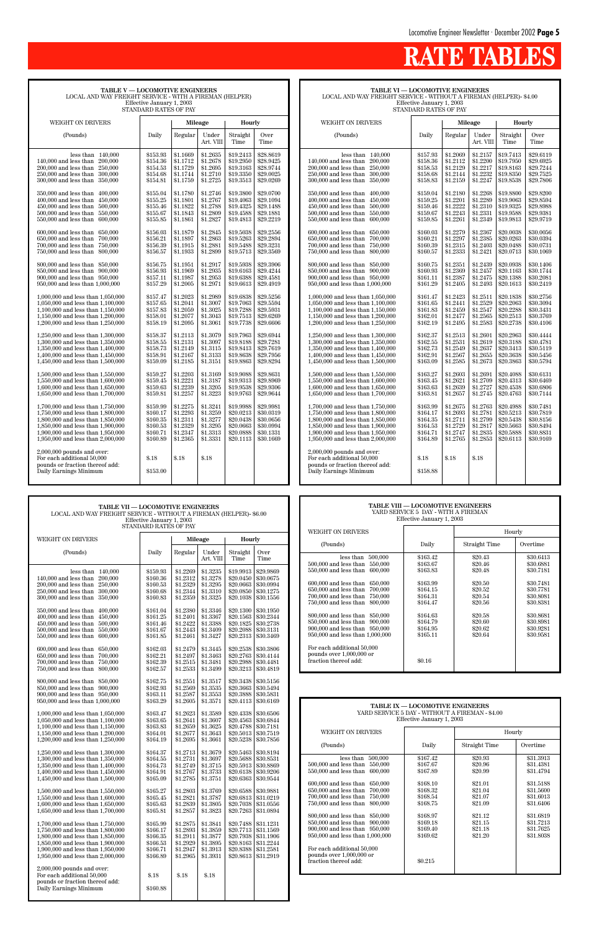**TABLE VI — LOCOMOTIVE ENGINEERS** LOCAL AND WAY FREIGHT SERVICE - WITHOUT A FIREMAN (HELPER)- \$4.00 Effective January 1, 2003

STANDARD RATES OF PAY

| <b>WEIGHT ON DRIVERS</b>                                                                                                                                                                                                   |                                                                      |                                                                      | Mileage                                                              | Hourly                                                                     |                                                                            |
|----------------------------------------------------------------------------------------------------------------------------------------------------------------------------------------------------------------------------|----------------------------------------------------------------------|----------------------------------------------------------------------|----------------------------------------------------------------------|----------------------------------------------------------------------------|----------------------------------------------------------------------------|
| (Pounds)                                                                                                                                                                                                                   | Daily                                                                | Regular                                                              | Under<br>Art. VIII                                                   | Straight<br>Time                                                           | Over<br>Time                                                               |
| less than<br>140,000<br>140,000 and less than<br>200,000<br>200,000 and less than<br>250,000<br>$250,000$ and less than<br>300,000<br>300,000 and less than<br>350,000                                                     | \$157.93<br>\$158.36<br>\$158.53<br>\$158.68<br>\$158.83             | \$1.2069<br>\$1.2112<br>\$1.2129<br>\$1.2144<br>\$1.2159             | \$1.2157<br>\$1.2200<br>\$1.2217<br>\$1.2232<br>\$1.2247             | \$19.7413<br>\$19.7950<br>\$19.8163<br>\$19.8350<br>\$19.8538              | \$29.6119<br>\$29.6925<br>\$29.7244<br>\$29.7525<br>\$29.7806              |
| 350,000 and less than<br>400,000<br>400,000 and less than<br>450,000<br>450,000 and less than<br>500,000<br>500,000 and less than<br>550,000<br>550,000 and less than<br>600,000                                           | \$159.04<br>\$159.25<br>\$159.46<br>\$159.67<br>\$159.85             | \$1.2180<br>\$1.2201<br>\$1.2222<br>\$1.2243<br>\$1.2261             | \$1.2268<br>\$1.2289<br>\$1.2310<br>\$1.2331<br>\$1.2349             | \$19.8800<br>\$19.9063<br>\$19.9325<br>\$19.9588<br>\$19.9813              | \$29.8200<br>\$29.8594<br>\$29.8988<br>\$29.9381<br>\$29.9719              |
| 600,000 and less than<br>650,000<br>650,000 and less than<br>700,000<br>700,000 and less than<br>750,000<br>800,000<br>750,000 and less than                                                                               | \$160.03<br>\$160.21<br>\$160.39<br>\$160.57                         | \$1.2279<br>\$1.2297<br>\$1.2315<br>\$1.2333                         | \$1.2367<br>\$1.2385<br>\$1.2403<br>\$1.2421                         | \$20.0038<br>\$20.0263<br>\$20.0488<br>\$20.0713                           | \$30.0056<br>\$30.0394<br>\$30.0731<br>\$30.1069                           |
| 800,000 and less than<br>850,000<br>850,000 and less than 900,000<br>900,000 and less than 950,000<br>950,000 and less than 1,000,000                                                                                      | \$160.75<br>\$160.93<br>\$161.11<br>\$161.29                         | \$1.2351<br>\$1.2369<br>\$1.2387<br>\$1.2405                         | \$1.2439<br>\$1.2457<br>\$1.2475<br>\$1.2493                         | \$20.0938<br>\$20.1163<br>\$20.1388<br>\$20.1613                           | \$30.1406<br>\$30.1744<br>\$30.2081<br>\$30.2419                           |
| 1,000,000 and less than 1,050,000<br>1.050,000 and less than 1.100,000<br>1,100,000 and less than 1,150,000<br>1,150,000 and less than 1,200,000<br>1,200,000 and less than 1,250,000                                      | \$161.47<br>\$161.65<br>\$161.83<br>\$162.01<br>\$162.19             | \$1.2423<br>\$1.2441<br>\$1.2459<br>\$1.2477<br>\$1.2495             | \$1.2511<br>\$1.2529<br>\$1.2547<br>\$1.2565<br>\$1.2583             | \$20.1838<br>\$20.2063<br>\$20.2288<br>\$20.2513<br>\$20.2738              | \$30.2756<br>\$30.3094<br>\$30.3431<br>\$30.3769<br>\$30.4106              |
| 1,250,000 and less than 1,300,000<br>1,300,000 and less than 1,350,000<br>1,350,000 and less than 1,400,000<br>1,400,000 and less than 1,450,000<br>1,450,000 and less than 1,500,000                                      | \$162.37<br>\$162.55<br>\$162.73<br>\$162.91<br>\$163.09             | \$1.2513<br>\$1.2531<br>\$1.2549<br>\$1.2567<br>\$1.2585             | \$1.2601<br>\$1.2619<br>\$1.2637<br>\$1.2655<br>\$1.2673             | \$20.2963<br>\$20.3188<br>\$20.3413<br>\$20.3638<br>\$20.3863              | \$30.4444<br>\$30.4781<br>\$30.5119<br>\$30.5456<br>\$30.5794              |
| 1,500,000 and less than 1,550,000<br>1,550,000 and less than 1,600,000<br>1,600,000 and less than 1,650,000<br>1,650,000 and less than 1,700,000                                                                           | \$163.27<br>\$163.45<br>\$163.63<br>\$163.81                         | \$1.2603<br>\$1.2621<br>\$1.2639<br>\$1.2657                         | \$1.2691<br>\$1.2709<br>\$1.2727<br>\$1.2745                         | \$20.4088<br>\$20.4313<br>\$20.4538<br>\$20.4763                           | \$30.6131<br>\$30.6469<br>\$30.6806<br>\$30.7144                           |
| 1,700,000 and less than 1,750,000<br>1,750,000 and less than 1,800,000<br>1,800,000 and less than 1,850,000<br>1,850,000 and less than 1,900,000<br>1,900,000 and less than 1,950,000<br>1,950,000 and less than 2,000,000 | \$163.99<br>\$164.17<br>\$164.35<br>\$164.53<br>\$164.71<br>\$164.89 | \$1.2675<br>\$1.2693<br>\$1.2711<br>\$1.2729<br>\$1.2747<br>\$1.2765 | \$1.2763<br>\$1.2781<br>\$1.2799<br>\$1.2817<br>\$1.2835<br>\$1.2853 | \$20.4988<br>\$20.5213<br>\$20.5438<br>\$20.5663<br>\$20.5888<br>\$20.6113 | \$30.7481<br>\$30.7819<br>\$30.8156<br>\$30.8494<br>\$30.8831<br>\$30.9169 |
| $2,000,000$ pounds and over:<br>For each additional 50,000<br>pounds or fraction thereof add:<br>Daily Earnings Minimum                                                                                                    | $\$.18$<br>\$158.88                                                  | \$.18                                                                | \$.18                                                                |                                                                            |                                                                            |

## **RATE TABLES**

| <b>TABLE V — LOCOMOTIVE ENGINEERS</b><br>LOCAL AND WAY FREIGHT SERVICE - WITH A FIREMAN (HELPER)<br>Effective January 1, 2003<br>STANDARD RATES OF PAY                                                                                                                                                                                                       |                                                                                                                      |                                                                                                                      |                                                                                                                      |                                                                                                                                |                                                                                                                                |  |
|--------------------------------------------------------------------------------------------------------------------------------------------------------------------------------------------------------------------------------------------------------------------------------------------------------------------------------------------------------------|----------------------------------------------------------------------------------------------------------------------|----------------------------------------------------------------------------------------------------------------------|----------------------------------------------------------------------------------------------------------------------|--------------------------------------------------------------------------------------------------------------------------------|--------------------------------------------------------------------------------------------------------------------------------|--|
| WEIGHT ON DRIVERS                                                                                                                                                                                                                                                                                                                                            |                                                                                                                      | Mileage                                                                                                              |                                                                                                                      | <b>Hourly</b>                                                                                                                  |                                                                                                                                |  |
| (Pounds)                                                                                                                                                                                                                                                                                                                                                     | Daily                                                                                                                | Regular                                                                                                              | Under<br>Art. VIII                                                                                                   | Straight<br>Time                                                                                                               | Over<br>Time                                                                                                                   |  |
| less than<br>140,000<br>140,000 and less than<br>200,000<br>200,000 and less than<br>250,000<br>250,000 and less than<br>300,000<br>300,000 and less than<br>350,000<br>350,000 and less than<br>400,000<br>400,000 and less than<br>450,000<br>450,000 and less than<br>500,000<br>500,000 and less than<br>550,000<br>$550,\!000$ and less than<br>600,000 | \$153.93<br>\$154.36<br>\$154.53<br>\$154.68<br>\$154.81<br>\$155.04<br>\$155.25<br>\$155.46<br>\$155.67<br>\$155.85 | \$1.1669<br>\$1.1712<br>\$1.1729<br>\$1.1744<br>\$1.1759<br>\$1.1780<br>\$1.1801<br>\$1.1822<br>\$1.1843<br>\$1.1861 | \$1.2635<br>\$1.2678<br>\$1.2695<br>\$1.2710<br>\$1.2725<br>\$1.2746<br>\$1.2767<br>\$1.2788<br>\$1.2809<br>\$1.2827 | \$19.2413<br>\$19.2950<br>\$19.3163<br>\$19.3350<br>\$19.3513<br>\$19.3800<br>\$19.4063<br>\$19.4325<br>\$19.4588<br>\$19.4813 | \$28.8619<br>\$28.9425<br>\$28.9744<br>\$29.0025<br>\$29.0269<br>\$29.0700<br>\$29.1094<br>\$29.1488<br>\$29.1881<br>\$29.2219 |  |
| 600,000 and less than<br>650,000<br>650,000 and less than<br>700,000<br>700,000 and less than<br>750,000<br>750,000 and less than<br>800,000<br>800,000 and less than<br>850,000<br>850,000 and less than<br>900,000<br>900,000 and less than 950,000<br>950,000 and less than 1,000,000                                                                     | \$156.03<br>\$156.21<br>\$156.39<br>\$156.57<br>\$156.75<br>\$156.93<br>\$157.11<br>\$157.29                         | \$1.1879<br>\$1.1897<br>\$1.1915<br>\$1.1933<br>\$1.1951<br>\$1.1969<br>\$1.1987<br>\$1.2005                         | \$1.2845<br>\$1.2863<br>\$1.2881<br>\$1.2899<br>\$1.2917<br>\$1.2935<br>\$1.2953<br>\$1.2971                         | \$19.5038<br>\$19.5263<br>\$19.5488<br>\$19.5713<br>\$19.5938<br>\$19.6163<br>\$19.6388<br>\$19.6613                           | \$29.2556<br>\$29.2894<br>\$29.3231<br>\$29.3569<br>\$29.3906<br>\$29.4244<br>\$29.4581<br>\$29.4919                           |  |
| 1,000,000 and less than 1,050,000<br>1,050,000 and less than 1,100,000<br>1,100,000 and less than 1,150,000<br>1,150,000 and less than 1,200,000<br>1,200,000 and less than 1,250,000<br>1,250,000 and less than 1,300,000<br>1,300,000 and less than 1,350,000                                                                                              | \$157.47<br>\$157.65<br>\$157.83<br>\$158.01<br>\$158.19<br>\$158.37<br>\$158.55                                     | \$1.2023<br>\$1.2041<br>\$1.2059<br>\$1.2077<br>\$1.2095<br>\$1.2113<br>\$1.2131                                     | \$1.2989<br>\$1.3007<br>\$1.3025<br>\$1.3043<br>\$1.3061<br>\$1.3079<br>\$1.3097                                     | \$19.6838<br>\$19.7063<br>\$19.7288<br>\$19.7513<br>\$19.7738<br>\$19.7963<br>\$19.8188                                        | \$29.5256<br>\$29.5594<br>\$29.5931<br>\$29.6269<br>\$29.6606<br>\$29.6944<br>\$29.7281                                        |  |
| 1,350,000 and less than 1,400,000<br>1,400,000 and less than $1,450,000$<br>1,450,000 and less than 1,500,000<br>1,500,000 and less than 1,550,000<br>1.550,000 and less than 1.600,000<br>1,600,000 and less than 1,650,000<br>1,650,000 and less than 1,700,000                                                                                            | \$158.73<br>\$158.91<br>\$159.09<br>\$159.27<br>\$159.45<br>\$159.63<br>\$159.81                                     | \$1.2149<br>\$1.2167<br>\$1.2185<br>\$1.2203<br>\$1.2221<br>\$1.2239<br>\$1.2257                                     | \$1.3115<br>\$1.3133<br>\$1.3151<br>\$1.3169<br>\$1.3187<br>\$1.3205<br>\$1.3223                                     | \$19.8413<br>\$19.8638<br>\$19.8863<br>\$19.9088<br>\$19.9313<br>\$19.9538<br>\$19.9763                                        | \$29.7619<br>\$29.7956<br>\$29.8294<br>\$29.8631<br>\$29.8969<br>\$29.9306<br>\$29.9644                                        |  |
| 1,700,000 and less than 1,750,000<br>1,750,000 and less than 1,800,000<br>1,800,000 and less than 1,850,000<br>1,850,000 and less than 1,900,000<br>1,900,000 and less than 1,950,000<br>1,950,000 and less than 2,000,000                                                                                                                                   | \$159.99<br>\$160.17<br>\$160.35<br>\$160.53<br>\$160.71<br>\$160.89                                                 | \$1.2275<br>\$1.2293<br>\$1.2311<br>\$1.2329<br>\$1.2347<br>\$1.2365                                                 | \$1.3241<br>\$1.3259<br>\$1.3277<br>\$1.3295<br>\$1.3313<br>\$1.3331                                                 | \$19.9988<br>\$20.0213<br>\$20.0438<br>\$20.0663<br>\$20.0888<br>\$20.1113                                                     | \$29.9981<br>\$30.0319<br>\$30.0656<br>\$30.0994<br>\$30.1331<br>\$30.1669                                                     |  |
| $2,000,000$ pounds and over:<br>For each additional 50,000<br>pounds or fraction thereof add:<br>Daily Earnings Minimum                                                                                                                                                                                                                                      | $\$.18$<br>\$153.00                                                                                                  | $\$.18$                                                                                                              | \$.18                                                                                                                |                                                                                                                                |                                                                                                                                |  |

| <b>TABLE VII - LOCOMOTIVE ENGINEERS</b><br>LOCAL AND WAY FREIGHT SERVICE - WITHOUT A FIREMAN (HELPER)- \$6.00<br>Effective January 1, 2003<br>STANDARD RATES OF PAY                                                        |                                                                      |                                                                      |                                                                      |                                                                                                                                                       |                                                               | <b>TABLE VIII - LOCOMOTIVE ENGINEERS</b><br>YARD SERVICE 5 DAY - WITH A FIREMAN<br>Effective January 1, 2003                                                                                 |                                                          |                                                     |                                                               |
|----------------------------------------------------------------------------------------------------------------------------------------------------------------------------------------------------------------------------|----------------------------------------------------------------------|----------------------------------------------------------------------|----------------------------------------------------------------------|-------------------------------------------------------------------------------------------------------------------------------------------------------|---------------------------------------------------------------|----------------------------------------------------------------------------------------------------------------------------------------------------------------------------------------------|----------------------------------------------------------|-----------------------------------------------------|---------------------------------------------------------------|
|                                                                                                                                                                                                                            |                                                                      |                                                                      |                                                                      |                                                                                                                                                       |                                                               | WEIGHT ON DRIVERS                                                                                                                                                                            |                                                          |                                                     | Hourly                                                        |
| WEIGHT ON DRIVERS                                                                                                                                                                                                          |                                                                      |                                                                      | Mileage                                                              | Hourly                                                                                                                                                |                                                               | (Pounds)                                                                                                                                                                                     | Daily                                                    | Straight Time                                       | Overtime                                                      |
| (Pounds)                                                                                                                                                                                                                   | Daily                                                                | Regular                                                              | Under<br>Art. VIII                                                   | Straight<br>Time                                                                                                                                      | Over<br>Time                                                  | less than $500,000$<br>500,000 and less than 550,000                                                                                                                                         | \$163.42<br>\$163.67                                     | \$20.43<br>\$20.46                                  | \$30.6413<br>\$30.6881                                        |
| less than $140,000$<br>$140.000$ and less than<br>200,000<br>250,000<br>200,000 and less than<br>250,000 and less than 300,000<br>300,000 and less than 350,000                                                            | \$159.93<br>\$160.36<br>\$160.53<br>\$160.68<br>\$160.83             | \$1.2269<br>\$1.2312<br>\$1.2329<br>\$1.2344<br>\$1.2359             | \$1.3235<br>\$1.3278<br>\$1.3295<br>\$1.3310<br>\$1.3325             | \$19.9913<br>\$20.0450<br>\$20.0663<br>\$20.0850<br>\$20.1038                                                                                         | \$29.9869<br>\$30.0675<br>\$30.0994<br>\$30.1275<br>\$30.1556 | 550,000 and less than 600,000<br>600,000 and less than 650,000<br>$650,000$ and less than<br>700,000<br>700,000 and less than<br>750,000                                                     | \$163.83<br>\$163.99<br>\$164.15<br>\$164.31             | \$20.48<br>\$20.50<br>\$20.52<br>\$20.54            | \$30.7181<br>\$30.7481<br>\$30.7781<br>\$30,8081              |
| 350,000 and less than 400,000<br>400,000 and less than<br>450,000<br>500,000<br>$450,000$ and less than<br>550,000<br>500,000 and less than<br>550,000 and less than 600,000                                               | \$161.04<br>\$161.25<br>\$161.46<br>\$161.67<br>\$161.85             | \$1.2380<br>\$1.2401<br>\$1.2422<br>\$1.2443<br>\$1.2461             | \$1.3346<br>\$1.3367<br>\$1.3388<br>\$1.3409<br>\$1.3427             | \$20.1300<br>\$20.1563<br>\$20.1825<br>\$20.2088<br>$$20.2313 \;   \; $30.3469$                                                                       | \$30.1950<br>\$30.2344<br>\$30.2738<br>\$30.3131              | 750,000 and less than 800,000<br>800,000 and less than 850,000<br>850,000 and less than 900,000<br>900,000 and less than 950,000<br>950,000 and less than 1,000,000                          | \$164.47<br>\$164.63<br>\$164.79<br>\$164.95<br>\$165.11 | \$20.56<br>\$20.58<br>\$20.60<br>\$20.62<br>\$20.64 | \$30.8381<br>\$30.8681<br>\$30.8981<br>\$30.9281<br>\$30.9581 |
| 600,000 and less than 650,000<br>700,000<br>650,000 and less than<br>700,000 and less than 750,000<br>750,000 and less than 800,000                                                                                        | \$162.03<br>\$162.21<br>\$162.39<br>\$162.57                         | \$1.2479<br>\$1.2497<br>\$1.2515<br>\$1.2533                         | \$1.3445<br>\$1.3463<br>\$1.3481<br>\$1.3499                         | \$20.2538<br>\$20.2763<br>\$20.2988<br>$$20.3213 \;   \; $30.4819$                                                                                    | \$30.3806<br>\$30.4144<br>\$30.4481                           | For each additional 50,000<br>pounds over $1,000,000$ or<br>fraction thereof add:                                                                                                            | \$0.16                                                   |                                                     |                                                               |
| 800,000 and less than 850,000<br>850,000 and less than 900,000<br>900,000 and less than 950,000<br>950,000 and less than 1,000,000                                                                                         | \$162.75<br>\$162.93<br>\$163.11<br>\$163.29                         | \$1.2551<br>\$1.2569<br>\$1.2587<br>\$1.2605                         | \$1.3517<br>\$1.3535<br>\$1.3553<br>\$1.3571                         | \$20.3438<br>\$20.3663<br>\$20.3888<br>$$20.4113 \;   \; $30.6169$                                                                                    | \$30.5156<br>\$30.5494<br>\$30.5831                           |                                                                                                                                                                                              |                                                          |                                                     |                                                               |
| 1,000,000 and less than 1,050,000<br>1,050,000 and less than 1,100,000                                                                                                                                                     | \$163.47<br>\$163.65                                                 | \$1.2623<br>\$1.2641                                                 | \$1.3589<br>\$1.3607                                                 | \$20.4338<br>\$20.4563<br>\$20.4788                                                                                                                   | \$30.6506<br>\$30.6844                                        | TABLE IX - LOCOMOTIVE ENGINEERS<br>YARD SERVICE 5 DAY - WITHOUT A FIREMAN - \$4.00<br>Effective January 1, 2003                                                                              |                                                          |                                                     |                                                               |
| $1,100,000$ and less than $1,150,000$<br>1,150,000 and less than 1,200,000                                                                                                                                                 | \$163.83<br>\$164.01                                                 | \$1.2659<br>\$1.2677                                                 | \$1.3625<br>\$1.3643                                                 | \$20.5013                                                                                                                                             | \$30.7181<br>\$30.7519                                        | WEIGHT ON DRIVERS                                                                                                                                                                            |                                                          |                                                     | Hourly                                                        |
| 1,200,000 and less than 1,250,000                                                                                                                                                                                          | \$164.19                                                             | \$1.2695                                                             | \$1.3661                                                             | \$20.5238<br>\$20.5463                                                                                                                                | \$30.7856<br>\$30.8194                                        | (Pounds)                                                                                                                                                                                     | Daily                                                    | Straight Time                                       | Overtime                                                      |
| 1,250,000 and less than 1,300,000<br>1,300,000 and less than 1,350,000<br>1,350,000 and less than 1,400,000<br>1,400,000 and less than $1,450,000$<br>1,450,000 and less than 1,500,000                                    | \$164.37<br>\$164.55<br>\$164.73<br>\$164.91<br>\$165.09             | \$1.2713<br>\$1.2731<br>\$1.2749<br>\$1.2767<br>\$1.2785             | \$1.3679<br>\$1.3697<br>\$1.3715<br>\$1.3733<br>\$1.3751             | \$20.5688 \$30.8531<br>\$20.6138<br>\$20.6363                                                                                                         | $$20.5913 \mid $30.8869$<br>\$30.9206<br>\$30.9544            | less than $500,000$<br>500,000 and less than 550,000<br>550,000 and less than 600,000<br>600,000 and less than<br>650,000                                                                    | \$167.42<br>\$167.67<br>\$167.89<br>\$168.10             | \$20.93<br>\$20.96<br>\$20.99<br>\$21.01            | \$31.3913<br>\$31.4381<br>\$31.4794<br>\$31.5188              |
| 1,500,000 and less than 1,550,000<br>1,550,000 and less than 1,600,000<br>1,600,000 and less than 1,650,000<br>1,650,000 and less than 1,700,000                                                                           | \$165.27<br>\$165.45<br>\$165.63<br>\$165.81                         | \$1.2803<br>\$1.2821<br>\$1.2839<br>\$1.2857                         | \$1.3769<br>\$1.3787<br>\$1.3805<br>\$1.3823                         | \$20.6588<br>\$20.6813<br>\$20.7263   \$31.0894                                                                                                       | \$30.9881<br>  \$31.0219<br>$$20.7038 \; \; $31.0556$         | $650,000$ and less than<br>700,000<br>700,000 and less than<br>750,000<br>750,000 and less than<br>800,000                                                                                   | \$168.32<br>\$168.54<br>\$168.75                         | \$21.04<br>\$21.07<br>\$21.09                       | \$31.5600<br>\$31.6013<br>\$31.6406                           |
| 1,700,000 and less than 1,750,000<br>1,750,000 and less than 1,800,000<br>1,800,000 and less than 1,850,000<br>1,850,000 and less than 1,900,000<br>1,900,000 and less than 1,950,000<br>1,950,000 and less than 2,000,000 | \$165.99<br>\$166.17<br>\$166.35<br>\$166.53<br>\$166.71<br>\$166.89 | \$1.2875<br>\$1.2893<br>\$1.2911<br>\$1.2929<br>\$1.2947<br>\$1.2965 | \$1.3841<br>\$1.3859<br>\$1.3877<br>\$1.3895<br>\$1.3913<br>\$1.3931 | \$20.7488<br>$$20.7713 \;   \; $31.1569$<br>$$20.7938 \;   \; $31.1906$<br>$$20.8163$ \s31.2244<br>\$20.8388 \$31.2581<br>$$20.8613 \;   \; $31.2919$ | \$31.1231                                                     | 800,000 and less than 850,000<br>850,000 and less than 900,000<br>900,000 and less than 950,000<br>950,000 and less than 1,000,000<br>For each additional 50,000<br>pounds over 1,000,000 or | \$168.97<br>\$169.18<br>\$169.40<br>\$169.62             | \$21.12<br>\$21.15<br>\$21.18<br>\$21.20            | \$31.6819<br>\$31.7213<br>\$31.7625<br>\$31.8038              |
| $2,000,000$ pounds and over:<br>For each additional 50,000<br>pounds or fraction thereof add:<br>Daily Earnings Minimum                                                                                                    | \$.18<br>\$160.88                                                    | \$.18                                                                | \$.18                                                                |                                                                                                                                                       |                                                               | fraction thereof add:                                                                                                                                                                        | \$0.215                                                  |                                                     |                                                               |

| <b>TABLE VIII - LOCOMOTIVE ENGINEERS</b><br>YARD SERVICE 5 DAY - WITH A FIREMAN<br>Effective January 1, 2003                                                                                                                                                                                                                                                                                                                                                             |                                                                                                                                            |                                                                                                                       |                                                                                                                                             |  |  |  |
|--------------------------------------------------------------------------------------------------------------------------------------------------------------------------------------------------------------------------------------------------------------------------------------------------------------------------------------------------------------------------------------------------------------------------------------------------------------------------|--------------------------------------------------------------------------------------------------------------------------------------------|-----------------------------------------------------------------------------------------------------------------------|---------------------------------------------------------------------------------------------------------------------------------------------|--|--|--|
| WEIGHT ON DRIVERS                                                                                                                                                                                                                                                                                                                                                                                                                                                        |                                                                                                                                            |                                                                                                                       | Hourly                                                                                                                                      |  |  |  |
| (Pounds)                                                                                                                                                                                                                                                                                                                                                                                                                                                                 | Daily                                                                                                                                      | Straight Time                                                                                                         | Overtime                                                                                                                                    |  |  |  |
| less than<br>500,000<br>500,000 and less than<br>550,000<br>550,000 and less than<br>600,000<br>600,000 and less than<br>650,000<br>650,000 and less than<br>700,000<br>750,000<br>700,000 and less than<br>800,000<br>750,000 and less than<br>800,000 and less than 850,000<br>850,000 and less than<br>900,000<br>900,000 and less than 950,000<br>950,000 and less than 1,000,000<br>For each additional 50,000<br>pounds over 1,000,000 or<br>fraction thereof add: | \$163.42<br>\$163.67<br>\$163.83<br>\$163.99<br>\$164.15<br>\$164.31<br>\$164.47<br>\$164.63<br>\$164.79<br>\$164.95<br>\$165.11<br>\$0.16 | \$20.43<br>\$20.46<br>\$20.48<br>\$20.50<br>\$20.52<br>\$20.54<br>\$20.56<br>\$20.58<br>\$20.60<br>\$20.62<br>\$20.64 | \$30.6413<br>\$30.6881<br>\$30.7181<br>\$30.7481<br>\$30,7781<br>\$30.8081<br>\$30.8381<br>\$30.8681<br>\$30.8981<br>\$30.9281<br>\$30.9581 |  |  |  |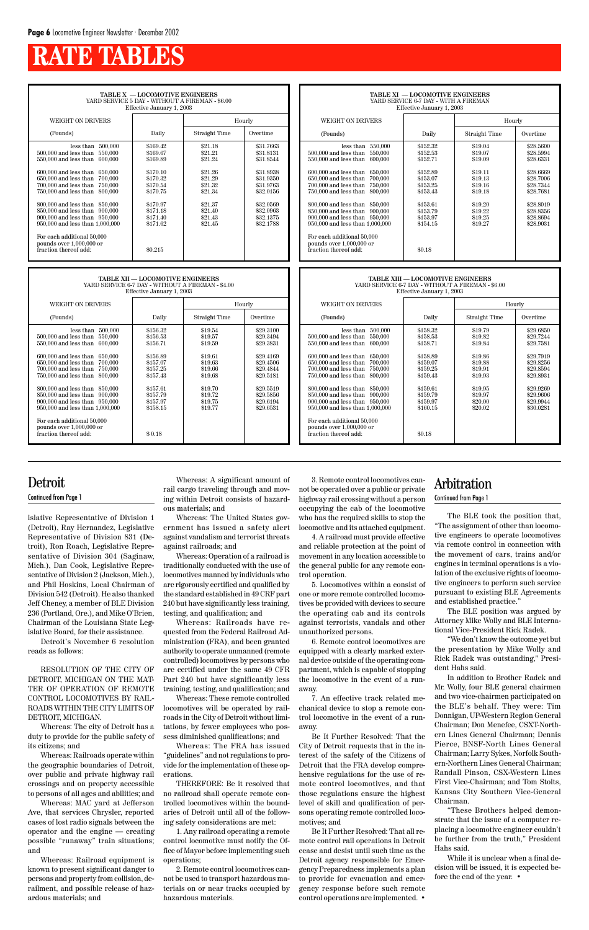## **RATE TABLES**

**TABLE X — LOCOMOTIVE ENGINEERS** YARD SERVICE 5 DAY - WITHOUT A FIREMAN - \$6.00

| Effective January 1, 2003                                                                                                                                                                                                                                                                                                                                                                                                                                                      |                                                                                                                                             |                                                                                                                       |                                                                                                                                             |  |  |  |  |
|--------------------------------------------------------------------------------------------------------------------------------------------------------------------------------------------------------------------------------------------------------------------------------------------------------------------------------------------------------------------------------------------------------------------------------------------------------------------------------|---------------------------------------------------------------------------------------------------------------------------------------------|-----------------------------------------------------------------------------------------------------------------------|---------------------------------------------------------------------------------------------------------------------------------------------|--|--|--|--|
| WEIGHT ON DRIVERS                                                                                                                                                                                                                                                                                                                                                                                                                                                              |                                                                                                                                             | Hourly                                                                                                                |                                                                                                                                             |  |  |  |  |
| (Pounds)                                                                                                                                                                                                                                                                                                                                                                                                                                                                       | Daily                                                                                                                                       | Straight Time                                                                                                         | Overtime                                                                                                                                    |  |  |  |  |
| less than<br>500,000<br>500,000 and less than<br>550,000<br>550,000 and less than<br>600.000<br>600,000 and less than<br>650,000<br>650,000 and less than<br>700,000<br>700,000 and less than<br>750,000<br>750,000 and less than<br>800,000<br>800,000 and less than<br>850,000<br>850,000 and less than<br>900,000<br>900,000 and less than<br>950,000<br>950,000 and less than 1,000,000<br>For each additional 50,000<br>pounds over 1,000,000 or<br>fraction thereof add: | \$169.42<br>\$169.67<br>\$169.89<br>\$170.10<br>\$170.32<br>\$170.54<br>\$170.75<br>\$170.97<br>\$171.18<br>\$171.40<br>\$171.62<br>\$0.215 | \$21.18<br>\$21.21<br>\$21.24<br>\$21.26<br>\$21.29<br>\$21.32<br>\$21.34<br>\$21.37<br>\$21.40<br>\$21.43<br>\$21.45 | \$31.7663<br>\$31.8131<br>\$31.8544<br>\$31.8938<br>\$31.9350<br>\$31.9763<br>\$32.0156<br>\$32.0569<br>\$32.0963<br>\$32.1375<br>\$32.1788 |  |  |  |  |

**TABLE XII — LOCOMOTIVE ENGINEERS** YARD SERVICE 6-7 DAY - WITHOUT A FIREMAN - \$4.00

| TABLE XI - LOCOMOTIVE ENGINEERS<br>YARD SERVICE 6-7 DAY - WITH A FIREMAN<br>Effective January 1, 2003                                                                                                                                                                                                                                                                                                                                                                       |                                                                                                                                            |                                                                                                                       |                                                                                                                                             |  |  |  |
|-----------------------------------------------------------------------------------------------------------------------------------------------------------------------------------------------------------------------------------------------------------------------------------------------------------------------------------------------------------------------------------------------------------------------------------------------------------------------------|--------------------------------------------------------------------------------------------------------------------------------------------|-----------------------------------------------------------------------------------------------------------------------|---------------------------------------------------------------------------------------------------------------------------------------------|--|--|--|
| WEIGHT ON DRIVERS<br>Hourly                                                                                                                                                                                                                                                                                                                                                                                                                                                 |                                                                                                                                            |                                                                                                                       |                                                                                                                                             |  |  |  |
| (Pounds)                                                                                                                                                                                                                                                                                                                                                                                                                                                                    | Daily                                                                                                                                      | <b>Straight Time</b>                                                                                                  | Overtime                                                                                                                                    |  |  |  |
| 550,000<br>less than<br>550,000<br>500,000 and less than<br>600,000<br>550,000 and less than<br>600,000 and less than<br>650,000<br>650,000 and less than<br>700,000<br>700,000 and less than<br>750,000<br>750,000 and less than<br>800,000<br>800,000 and less than<br>850,000<br>850,000 and less than<br>900,000<br>900,000 and less than 950,000<br>950,000 and less than 1,000,000<br>For each additional 50,000<br>pounds over 1,000,000 or<br>fraction thereof add: | \$152.32<br>\$152.53<br>\$152.71<br>\$152.89<br>\$153.07<br>\$153.25<br>\$153.43<br>\$153.61<br>\$153.79<br>\$153.97<br>\$154.15<br>\$0.18 | \$19.04<br>\$19.07<br>\$19.09<br>\$19.11<br>\$19.13<br>\$19.16<br>\$19.18<br>\$19.20<br>\$19.22<br>\$19.25<br>\$19.27 | \$28.5600<br>\$28.5994<br>\$28.6331<br>\$28.6669<br>\$28.7006<br>\$28.7344<br>\$28.7681<br>\$28.8019<br>\$28.8356<br>\$28.8694<br>\$28.9031 |  |  |  |

**TABLE XIII — LOCOMOTIVE ENGINEERS** YARD SERVICE 6-7 DAY - WITHOUT A FIREMAN - \$6.00

| Effective January 1, 2003                                                                                                                                                                                                                                                                                                                                                                                                                         |                                                                                                                                  |                                                                                                                       |                                                                                                                                             |  |  |  |  |
|---------------------------------------------------------------------------------------------------------------------------------------------------------------------------------------------------------------------------------------------------------------------------------------------------------------------------------------------------------------------------------------------------------------------------------------------------|----------------------------------------------------------------------------------------------------------------------------------|-----------------------------------------------------------------------------------------------------------------------|---------------------------------------------------------------------------------------------------------------------------------------------|--|--|--|--|
| <b>WEIGHT ON DRIVERS</b>                                                                                                                                                                                                                                                                                                                                                                                                                          |                                                                                                                                  | Hourly                                                                                                                |                                                                                                                                             |  |  |  |  |
| (Pounds)                                                                                                                                                                                                                                                                                                                                                                                                                                          | Daily                                                                                                                            | Straight Time                                                                                                         | Overtime                                                                                                                                    |  |  |  |  |
| less than<br>500,000<br>550,000<br>500,000 and less than<br>550,000 and less than<br>600,000<br>$600,000$ and less than<br>650,000<br>650,000 and less than<br>700,000<br>700,000 and less than<br>750,000<br>750,000 and less than<br>800,000<br>800,000 and less than 850,000<br>850,000 and less than<br>900,000<br>900,000 and less than 950,000<br>950,000 and less than 1,000,000<br>For each additional 50,000<br>pounds over 1,000,000 or | \$156.32<br>\$156.53<br>\$156.71<br>\$156.89<br>\$157.07<br>\$157.25<br>\$157.43<br>\$157.61<br>\$157.79<br>\$157.97<br>\$158.15 | \$19.54<br>\$19.57<br>\$19.59<br>\$19.61<br>\$19.63<br>\$19.66<br>\$19.68<br>\$19.70<br>\$19.72<br>\$19.75<br>\$19.77 | \$29.3100<br>\$29.3494<br>\$29.3831<br>\$29.4169<br>\$29.4506<br>\$29.4844<br>\$29.5181<br>\$29.5519<br>\$29.5856<br>\$29.6194<br>\$29.6531 |  |  |  |  |
| fraction thereof add:                                                                                                                                                                                                                                                                                                                                                                                                                             | \$0.18                                                                                                                           |                                                                                                                       |                                                                                                                                             |  |  |  |  |

| TAIND SEINTUE 0-7 DAT - WITHOUT A FINEMAN - 50.00<br>Effective January 1, 2003                                                                                                                                                                                                                                                                                                                                                                                 |                                                                                                                                            |                                                                                                                       |                                                                                                                                             |  |  |  |  |
|----------------------------------------------------------------------------------------------------------------------------------------------------------------------------------------------------------------------------------------------------------------------------------------------------------------------------------------------------------------------------------------------------------------------------------------------------------------|--------------------------------------------------------------------------------------------------------------------------------------------|-----------------------------------------------------------------------------------------------------------------------|---------------------------------------------------------------------------------------------------------------------------------------------|--|--|--|--|
| <b>WEIGHT ON DRIVERS</b>                                                                                                                                                                                                                                                                                                                                                                                                                                       |                                                                                                                                            |                                                                                                                       | Hourly                                                                                                                                      |  |  |  |  |
| (Pounds)                                                                                                                                                                                                                                                                                                                                                                                                                                                       | Daily                                                                                                                                      | Straight Time                                                                                                         | Overtime                                                                                                                                    |  |  |  |  |
| 500,000<br>less than<br>$500,000$ and less than<br>550,000<br>550,000 and less than<br>600,000<br>600,000 and less than 650,000<br>650,000 and less than<br>700,000<br>700,000 and less than 750,000<br>750,000 and less than 800,000<br>800,000 and less than 850,000<br>850,000 and less than 900,000<br>900,000 and less than 950,000<br>950,000 and less than 1,000,000<br>For each additional 50,000<br>pounds over 1,000,000 or<br>fraction thereof add: | \$158.32<br>\$158.53<br>\$158.71<br>\$158.89<br>\$159.07<br>\$159.25<br>\$159.43<br>\$159.61<br>\$159.79<br>\$159.97<br>\$160.15<br>\$0.18 | \$19.79<br>\$19.82<br>\$19.84<br>\$19.86<br>\$19.88<br>\$19.91<br>\$19.93<br>\$19.95<br>\$19.97<br>\$20.00<br>\$20.02 | \$29.6850<br>\$29.7244<br>\$29.7581<br>\$29.7919<br>\$29.8256<br>\$29.8594<br>\$29.8931<br>\$29.9269<br>\$29.9606<br>\$29.9944<br>\$30.0281 |  |  |  |  |

The BLE took the position that, "The assignment of other than locomotive engineers to operate locomotives via remote control in connection with the movement of cars, trains and/or engines in terminal operations is a violation of the exclusive rights of locomotive engineers to perform such service pursuant to existing BLE Agreements and established practice."

The BLE position was argued by Attorney Mike Wolly and BLE International Vice-President Rick Radek.

"We don't know the outcome yet but the presentation by Mike Wolly and Rick Radek was outstanding," President Hahs said.

In addition to Brother Radek and Mr. Wolly, four BLE general chairmen and two vice-chairmen participated on the BLE's behalf. They were: Tim Donnigan, UP-Western Region General Chairman; Don Menefee, CSXT-Northern Lines General Chairman; Dennis Pierce, BNSF-North Lines General Chairman; Larry Sykes, Norfolk Southern-Northern Lines General Chairman; Randall Pinson, CSX-Western Lines First Vice-Chairman; and Tom Stolts, Kansas City Southern Vice-General Chairman. "These Brothers helped demonstrate that the issue of a computer replacing a locomotive engineer couldn't be further from the truth," President Hahs said.

While it is unclear when a final decision will be issued, it is expected before the end of the year. •

islative Representative of Division 1 (Detroit), Ray Hernandez, Legislative Representative of Division 831 (Detroit), Ron Roach, Legislative Representative of Division 304 (Saginaw, Mich.), Dan Cook, Legislative Representative of Division 2 (Jackson, Mich.), and Phil Hoskins, Local Chairman of Division 542 (Detroit). He also thanked Jeff Cheney, a member of BLE Division 236 (Portland, Ore.), and Mike O'Brien, Chairman of the Louisiana State Legislative Board, for their assistance.

Detroit's November 6 resolution reads as follows:

RESOLUTION OF THE CITY OF DETROIT, MICHIGAN ON THE MAT-TER OF OPERATION OF REMOTE CONTROL LOCOMOTIVES BY RAIL-ROADS WITHIN THE CITY LIMITS OF DETROIT, MICHIGAN. Whereas: The city of Detroit has a duty to provide for the public safety of its citizens; and Whereas: Railroads operate within the geographic boundaries of Detroit, over public and private highway rail crossings and on property accessible to persons of all ages and abilities; and

Whereas: MAC yard at Jefferson Ave, that services Chrysler, reported cases of lost radio signals between the operator and the engine — creating possible "runaway" train situations; and

Whereas: Railroad equipment is known to present significant danger to persons and property from collision, derailment, and possible release of hazardous materials; and

Whereas: A significant amount of rail cargo traveling through and moving within Detroit consists of hazardous materials; and

Whereas: The United States government has issued a safety alert against vandalism and terrorist threats against railroads; and

Whereas: Operation of a railroad is traditionally conducted with the use of locomotives manned by individuals who are rigorously certified and qualified by the standard established in 49 CRF part 240 but have significantly less training, testing, and qualification; and

Whereas: Railroads have requested from the Federal Railroad Administration (FRA), and been granted authority to operate unmanned (remote controlled) locomotives by persons who are certified under the same 49 CFR Part 240 but have significantly less

training, testing, and qualification; and

Whereas: These remote controlled locomotives will be operated by railroads in the City of Detroit without limitations, by fewer employees who possess diminished qualifications; and

Whereas: The FRA has issued "guidelines" and not regulations to provide for the implementation of these operations.

THEREFORE: Be it resolved that no railroad shall operate remote controlled locomotives within the boundaries of Detroit until all of the following safety considerations are met:

1. Any railroad operating a remote control locomotive must notify the Office of Mayor before implementing such operations;

2. Remote control locomotives cannot be used to transport hazardous materials on or near tracks occupied by hazardous materials.

3. Remote control locomotives cannot be operated over a public or private highway rail crossing without a person occupying the cab of the locomotive who has the required skills to stop the locomotive and its attached equipment.

4. A railroad must provide effective and reliable protection at the point of movement in any location accessible to the general public for any remote control operation.

5. Locomotives within a consist of one or more remote controlled locomotives be provided with devices to secure the operating cab and its controls against terrorists, vandals and other unauthorized persons.

6. Remote control locomotives are equipped with a clearly marked external device outside of the operating compartment, which is capable of stopping the locomotive in the event of a run-

away.

7. An effective track related mechanical device to stop a remote control locomotive in the event of a runaway.

Be It Further Resolved: That the City of Detroit requests that in the interest of the safety of the Citizens of Detroit that the FRA develop comprehensive regulations for the use of remote control locomotives, and that those regulations ensure the highest level of skill and qualification of persons operating remote controlled locomotives; and

Be It Further Resolved: That all remote control rail operations in Detroit cease and desist until such time as the Detroit agency responsible for Emergency Preparedness implements a plan to provide for evacuation and emergency response before such remote control operations are implemented. •

#### Detroit

#### Continued from Page 1

#### Arbitration

#### Continued from Page 1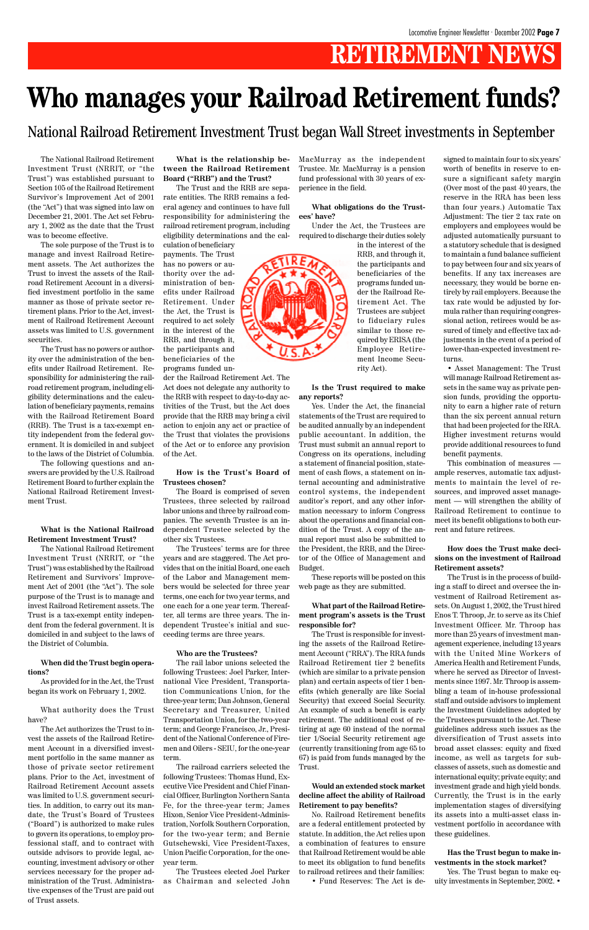## **RETIREMENT NEWS**

The National Railroad Retirement Investment Trust (NRRIT, or "the Trust") was established pursuant to Section 105 of the Railroad Retirement Survivor's Improvement Act of 2001 (the "Act") that was signed into law on December 21, 2001. The Act set February 1, 2002 as the date that the Trust was to become effective.

The sole purpose of the Trust is to manage and invest Railroad Retirement assets. The Act authorizes the Trust to invest the assets of the Railroad Retirement Account in a diversified investment portfolio in the same manner as those of private sector retirement plans. Prior to the Act, investment of Railroad Retirement Account assets was limited to U.S. government securities.

The Trust has no powers or authority over the administration of the benefits under Railroad Retirement. Responsibility for administering the railroad retirement program, including eligibility determinations and the calculation of beneficiary payments, remains with the Railroad Retirement Board (RRB). The Trust is a tax-exempt entity independent from the federal government. It is domiciled in and subject to the laws of the District of Columbia.

The following questions and answers are provided by the U.S. Railroad Retirement Board to further explain the National Railroad Retirement Investment Trust.

#### **What is the National Railroad Retirement Investment Trust?**

The National Railroad Retirement Investment Trust (NRRIT, or "the Trust") was established by the Railroad Retirement and Survivors' Improvement Act of 2001 (the "Act"). The sole purpose of the Trust is to manage and invest Railroad Retirement assets. The Trust is a tax-exempt entity independent from the federal government. It is domiciled in and subject to the laws of the District of Columbia.

#### **When did the Trust begin operations?**

As provided for in the Act, the Trust

began its work on February 1, 2002.

What authority does the Trust have?

The Act authorizes the Trust to invest the assets of the Railroad Retirement Account in a diversified investment portfolio in the same manner as those of private sector retirement plans. Prior to the Act, investment of Railroad Retirement Account assets was limited to U.S. government securities. In addition, to carry out its mandate, the Trust's Board of Trustees ("Board") is authorized to make rules to govern its operations, to employ professional staff, and to contract with outside advisors to provide legal, accounting, investment advisory or other services necessary for the proper administration of the Trust. Administrative expenses of the Trust are paid out of Trust assets.

**What is the relationship between the Railroad Retirement Board ("RRB") and the Trust?**

The Trust and the RRB are separate entities. The RRB remains a federal agency and continues to have full responsibility for administering the railroad retirement program, including eligibility determinations and the cal-

culation of beneficiary payments. The Trust has no powers or authority over the administration of benefits under Railroad Retirement. Under the Act, the Trust is required to act solely in the interest of the RRB, and through it, the participants and beneficiaries of the programs funded un-

der the Railroad Retirement Act. The Act does not delegate any authority to the RRB with respect to day-to-day activities of the Trust, but the Act does provide that the RRB may bring a civil action to enjoin any act or practice of the Trust that violates the provisions of the Act or to enforce any provision of the Act.

#### **How is the Trust's Board of Trustees chosen?**

The Board is comprised of seven Trustees, three selected by railroad labor unions and three by railroad companies. The seventh Trustee is an independent Trustee selected by the other six Trustees.

The Trustees' terms are for three years and are staggered. The Act provides that on the initial Board, one each of the Labor and Management members would be selected for three year terms, one each for two year terms, and one each for a one year term. Thereafter, all terms are three years. The independent Trustee's initial and succeeding terms are three years.

#### **Who are the Trustees?**

The rail labor unions selected the following Trustees: Joel Parker, International Vice President, Transportation Communications Union, for the three-year term; Dan Johnson, General Secretary and Treasurer, United Transportation Union, for the two-year term; and George Francisco, Jr., President of the National Conference of Firemen and Oilers - SEIU, for the one-year term. The railroad carriers selected the following Trustees: Thomas Hund, Executive Vice President and Chief Financial Officer, Burlington Northern Santa Fe, for the three-year term; James Hixon, Senior Vice President-Administration, Norfolk Southern Corporation, for the two-year term; and Bernie Gutschewski, Vice President-Taxes, Union Pacific Corporation, for the oneyear term.

The Trustees elected Joel Parker as Chairman and selected John MacMurray as the independent Trustee. Mr. MacMurray is a pension fund professional with 30 years of experience in the field.

**What obligations do the Trustees' have?**

Under the Act, the Trustees are required to discharge their duties solely



**Is the Trust required to make any reports?**

Yes. Under the Act, the financial statements of the Trust are required to be audited annually by an independent public accountant. In addition, the Trust must submit an annual report to Congress on its operations, including a statement of financial position, statement of cash flows, a statement on internal accounting and administrative control systems, the independent auditor's report, and any other information necessary to inform Congress about the operations and financial condition of the Trust. A copy of the annual report must also be submitted to the President, the RRB, and the Director of the Office of Management and Budget.

These reports will be posted on this web page as they are submitted.

#### **What part of the Railroad Retirement program's assets is the Trust responsible for?**

The Trust is responsible for investing the assets of the Railroad Retirement Account ("RRA"). The RRA funds Railroad Retirement tier 2 benefits (which are similar to a private pension plan) and certain aspects of tier 1 benefits (which generally are like Social Security) that exceed Social Security. An example of such a benefit is early retirement. The additional cost of retiring at age 60 instead of the normal tier 1/Social Security retirement age (currently transitioning from age 65 to 67) is paid from funds managed by the Trust.

#### **Would an extended stock market decline affect the ability of Railroad Retirement to pay benefits?**

No. Railroad Retirement benefits are a federal entitlement protected by statute. In addition, the Act relies upon a combination of features to ensure that Railroad Retirement would be able to meet its obligation to fund benefits to railroad retirees and their families:

• Fund Reserves: The Act is de-

signed to maintain four to six years' worth of benefits in reserve to ensure a significant safety margin (Over most of the past 40 years, the reserve in the RRA has been less than four years.) Automatic Tax Adjustment: The tier 2 tax rate on employers and employees would be adjusted automatically pursuant to a statutory schedule that is designed to maintain a fund balance sufficient to pay between four and six years of benefits. If any tax increases are necessary, they would be borne entirely by rail employers. Because the tax rate would be adjusted by formula rather than requiring congressional action, retirees would be assured of timely and effective tax adjustments in the event of a period of lower-than-expected investment returns.

• Asset Management: The Trust will manage Railroad Retirement assets in the same way as private pension funds, providing the opportunity to earn a higher rate of return than the six percent annual return that had been projected for the RRA. Higher investment returns would provide additional resources to fund benefit payments.

This combination of measures ample reserves, automatic tax adjustments to maintain the level of resources, and improved asset management — will strengthen the ability of Railroad Retirement to continue to meet its benefit obligations to both current and future retirees.

#### **How does the Trust make decisions on the investment of Railroad Retirement assets?**

The Trust is in the process of building a staff to direct and oversee the investment of Railroad Retirement assets. On August 1, 2002, the Trust hired Enos T. Throop, Jr. to serve as its Chief Investment Officer. Mr. Throop has more than 25 years of investment management experience, including 13 years with the United Mine Workers of America Health and Retirement Funds, where he served as Director of Investments since 1997. Mr. Throop is assembling a team of in-house professional staff and outside advisors to implement the Investment Guidelines adopted by the Trustees pursuant to the Act. These guidelines address such issues as the diversification of Trust assets into broad asset classes: equity and fixed income, as well as targets for subclasses of assets, such as domestic and international equity; private equity; and investment grade and high yield bonds. Currently, the Trust is in the early implementation stages of diversifying its assets into a multi-asset class investment portfolio in accordance with these guidelines.



**Has the Trust begun to make investments in the stock market?**

Yes. The Trust began to make equity investments in September, 2002. •

## **Who manages your Railroad Retirement funds?**

National Railroad Retirement Investment Trust began Wall Street investments in September